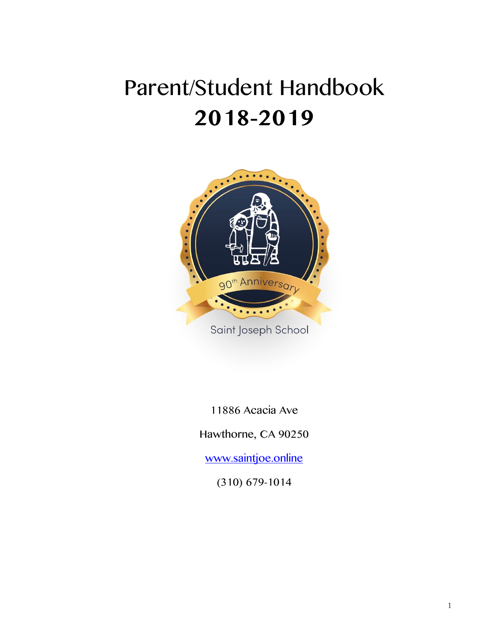# Parent/Student Handbook **2018-2019**



11886 Acacia Ave

Hawthorne, CA 90250

www.saintjoe.online

(310) 679-1014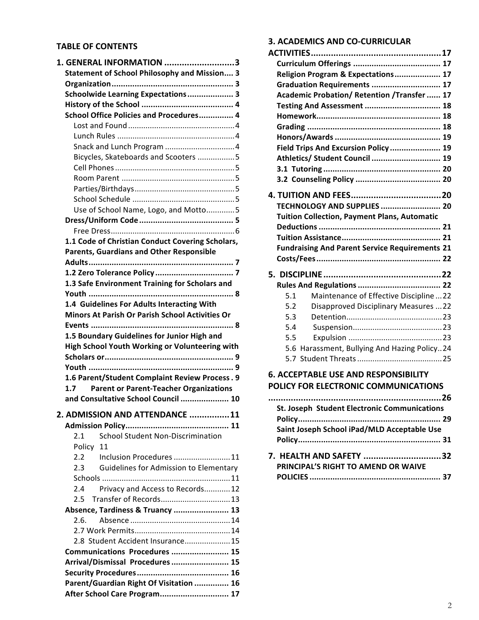### **TABLE OF CONTENTS**

| 1. GENERAL INFORMATION 3                                                |  |  |  |  |
|-------------------------------------------------------------------------|--|--|--|--|
| <b>Statement of School Philosophy and Mission 3</b>                     |  |  |  |  |
|                                                                         |  |  |  |  |
| Schoolwide Learning Expectations 3                                      |  |  |  |  |
|                                                                         |  |  |  |  |
| School Office Policies and Procedures 4                                 |  |  |  |  |
|                                                                         |  |  |  |  |
|                                                                         |  |  |  |  |
|                                                                         |  |  |  |  |
| Bicycles, Skateboards and Scooters 5                                    |  |  |  |  |
|                                                                         |  |  |  |  |
|                                                                         |  |  |  |  |
|                                                                         |  |  |  |  |
|                                                                         |  |  |  |  |
| Use of School Name, Logo, and Motto5                                    |  |  |  |  |
|                                                                         |  |  |  |  |
|                                                                         |  |  |  |  |
| 1.1 Code of Christian Conduct Covering Scholars,                        |  |  |  |  |
| <b>Parents, Guardians and Other Responsible</b>                         |  |  |  |  |
|                                                                         |  |  |  |  |
|                                                                         |  |  |  |  |
| 1.3 Safe Environment Training for Scholars and                          |  |  |  |  |
|                                                                         |  |  |  |  |
| 1.4 Guidelines For Adults Interacting With                              |  |  |  |  |
| Minors At Parish Or Parish School Activities Or                         |  |  |  |  |
|                                                                         |  |  |  |  |
| 1.5 Boundary Guidelines for Junior High and                             |  |  |  |  |
| High School Youth Working or Volunteering with                          |  |  |  |  |
|                                                                         |  |  |  |  |
|                                                                         |  |  |  |  |
| 1.6 Parent/Student Complaint Review Process. 9                          |  |  |  |  |
| <b>Parent or Parent-Teacher Organizations</b><br>1.7                    |  |  |  |  |
| and Consultative School Council  10                                     |  |  |  |  |
|                                                                         |  |  |  |  |
| 2. ADMISSION AND ATTENDANCE 11                                          |  |  |  |  |
|                                                                         |  |  |  |  |
| <b>School Student Non-Discrimination</b><br>2.1                         |  |  |  |  |
| Policy<br>11                                                            |  |  |  |  |
| 2.2<br>Inclusion Procedures  11                                         |  |  |  |  |
| <b>Guidelines for Admission to Elementary</b><br>2.3                    |  |  |  |  |
|                                                                         |  |  |  |  |
| Privacy and Access to Records 12<br>2.4                                 |  |  |  |  |
| Transfer of Records 13<br>2.5                                           |  |  |  |  |
| Absence, Tardiness & Truancy  13                                        |  |  |  |  |
| 2.6.                                                                    |  |  |  |  |
|                                                                         |  |  |  |  |
| 2.8 Student Accident Insurance15                                        |  |  |  |  |
| Communications Procedures  15                                           |  |  |  |  |
| Arrival/Dismissal Procedures  15                                        |  |  |  |  |
|                                                                         |  |  |  |  |
|                                                                         |  |  |  |  |
| Parent/Guardian Right Of Visitation  16<br>After School Care Program 17 |  |  |  |  |

# **3. ACADEMICS AND CO-CURRICULAR**

| Religion Program & Expectations 17                                                  |  |
|-------------------------------------------------------------------------------------|--|
| Graduation Requirements  17                                                         |  |
| Academic Probation/ Retention /Transfer  17                                         |  |
| Testing And Assessment  18                                                          |  |
|                                                                                     |  |
|                                                                                     |  |
|                                                                                     |  |
| Field Trips And Excursion Policy  19                                                |  |
| Athletics/ Student Council  19                                                      |  |
|                                                                                     |  |
|                                                                                     |  |
|                                                                                     |  |
| TECHNOLOGY AND SUPPLIES  20                                                         |  |
| <b>Tuition Collection, Payment Plans, Automatic</b>                                 |  |
|                                                                                     |  |
|                                                                                     |  |
| <b>Fundraising And Parent Service Requirements 21</b>                               |  |
|                                                                                     |  |
|                                                                                     |  |
|                                                                                     |  |
|                                                                                     |  |
| 5.1<br>Maintenance of Effective Discipline22                                        |  |
| 5.2<br><b>Disapproved Disciplinary Measures 22</b>                                  |  |
| 5.3                                                                                 |  |
|                                                                                     |  |
| 5.4                                                                                 |  |
| 5.5                                                                                 |  |
| 5.6 Harassment, Bullying And Hazing Policy24                                        |  |
|                                                                                     |  |
|                                                                                     |  |
|                                                                                     |  |
| <b>6. ACCEPTABLE USE AND RESPONSIBILITY</b><br>POLICY FOR ELECTRONIC COMMUNICATIONS |  |

| <b>St. Joseph Student Electronic Communications</b> |  |
|-----------------------------------------------------|--|
|                                                     |  |
| Saint Joseph School iPad/MLD Acceptable Use         |  |
|                                                     |  |
| 7. HEALTH AND SAFETY 32                             |  |
| PRINCIPAL'S RIGHT TO AMEND OR WAIVE                 |  |
|                                                     |  |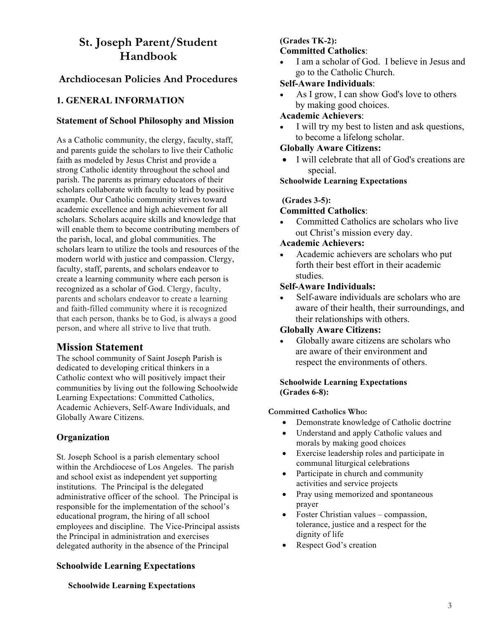# **St. Joseph Parent/Student Handbook**

# **Archdiocesan Policies And Procedures**

# **1. GENERAL INFORMATION**

### **Statement of School Philosophy and Mission**

As a Catholic community, the clergy, faculty, staff, and parents guide the scholars to live their Catholic faith as modeled by Jesus Christ and provide a strong Catholic identity throughout the school and parish. The parents as primary educators of their scholars collaborate with faculty to lead by positive example. Our Catholic community strives toward academic excellence and high achievement for all scholars. Scholars acquire skills and knowledge that will enable them to become contributing members of the parish, local, and global communities. The scholars learn to utilize the tools and resources of the modern world with justice and compassion. Clergy, faculty, staff, parents, and scholars endeavor to create a learning community where each person is recognized as a scholar of God. Clergy, faculty, parents and scholars endeavor to create a learning and faith-filled community where it is recognized that each person, thanks be to God, is always a good person, and where all strive to live that truth.

# **Mission Statement**

The school community of Saint Joseph Parish is dedicated to developing critical thinkers in a Catholic context who will positively impact their communities by living out the following Schoolwide Learning Expectations: Committed Catholics, Academic Achievers, Self-Aware Individuals, and Globally Aware Citizens.

# **Organization**

St. Joseph School is a parish elementary school within the Archdiocese of Los Angeles. The parish and school exist as independent yet supporting institutions. The Principal is the delegated administrative officer of the school. The Principal is responsible for the implementation of the school's educational program, the hiring of all school employees and discipline. The Vice-Principal assists the Principal in administration and exercises delegated authority in the absence of the Principal

# **Schoolwide Learning Expectations**

#### **(Grades TK-2): Committed Catholics**:

I am a scholar of God. I believe in Jesus and go to the Catholic Church.

### **Self-Aware Individuals**:

As I grow, I can show God's love to others by making good choices.

### **Academic Achievers**:

I will try my best to listen and ask questions, to become a lifelong scholar.

# **Globally Aware Citizens:**

• I will celebrate that all of God's creations are special.

#### **Schoolwide Learning Expectations**

### **(Grades 3-5):**

### **Committed Catholics**:

• Committed Catholics are scholars who live out Christ's mission every day.

### **Academic Achievers:**

• Academic achievers are scholars who put forth their best effort in their academic studies.

### **Self-Aware Individuals:**

Self-aware individuals are scholars who are aware of their health, their surroundings, and their relationships with others.

### **Globally Aware Citizens:**

• Globally aware citizens are scholars who are aware of their environment and respect the environments of others.

#### **Schoolwide Learning Expectations (Grades 6-8):**

### **Committed Catholics Who:**

- Demonstrate knowledge of Catholic doctrine
- Understand and apply Catholic values and morals by making good choices
- Exercise leadership roles and participate in communal liturgical celebrations
- Participate in church and community activities and service projects
- Pray using memorized and spontaneous prayer
- Foster Christian values compassion, tolerance, justice and a respect for the dignity of life
- Respect God's creation

### **Schoolwide Learning Expectations**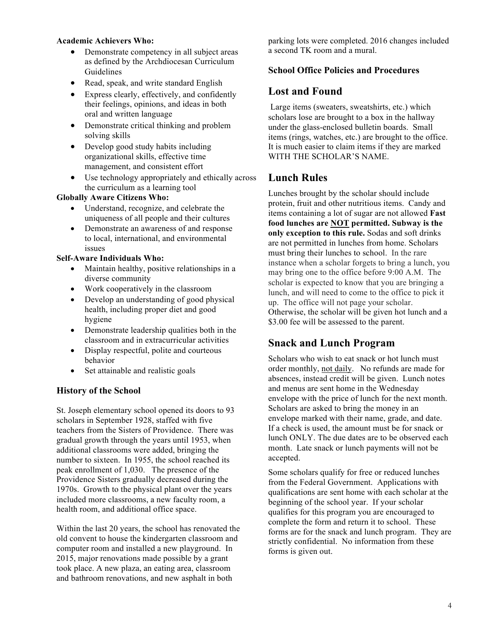#### **Academic Achievers Who:**

- Demonstrate competency in all subject areas as defined by the Archdiocesan Curriculum Guidelines
- Read, speak, and write standard English
- Express clearly, effectively, and confidently their feelings, opinions, and ideas in both oral and written language
- Demonstrate critical thinking and problem solving skills
- Develop good study habits including organizational skills, effective time management, and consistent effort
- Use technology appropriately and ethically across the curriculum as a learning tool

### **Globally Aware Citizens Who:**

- Understand, recognize, and celebrate the uniqueness of all people and their cultures
- Demonstrate an awareness of and response to local, international, and environmental issues

#### **Self-Aware Individuals Who:**

- Maintain healthy, positive relationships in a diverse community
- Work cooperatively in the classroom
- Develop an understanding of good physical health, including proper diet and good hygiene
- Demonstrate leadership qualities both in the classroom and in extracurricular activities
- Display respectful, polite and courteous behavior
- Set attainable and realistic goals

# **History of the School**

St. Joseph elementary school opened its doors to 93 scholars in September 1928, staffed with five teachers from the Sisters of Providence. There was gradual growth through the years until 1953, when additional classrooms were added, bringing the number to sixteen. In 1955, the school reached its peak enrollment of 1,030. The presence of the Providence Sisters gradually decreased during the 1970s. Growth to the physical plant over the years included more classrooms, a new faculty room, a health room, and additional office space.

Within the last 20 years, the school has renovated the old convent to house the kindergarten classroom and computer room and installed a new playground. In 2015, major renovations made possible by a grant took place. A new plaza, an eating area, classroom and bathroom renovations, and new asphalt in both

parking lots were completed. 2016 changes included a second TK room and a mural.

### **School Office Policies and Procedures**

# **Lost and Found**

Large items (sweaters, sweatshirts, etc.) which scholars lose are brought to a box in the hallway under the glass-enclosed bulletin boards. Small items (rings, watches, etc.) are brought to the office. It is much easier to claim items if they are marked WITH THE SCHOLAR'S NAME.

# **Lunch Rules**

Lunches brought by the scholar should include protein, fruit and other nutritious items. Candy and items containing a lot of sugar are not allowed **Fast food lunches are NOT permitted. Subway is the only exception to this rule.** Sodas and soft drinks are not permitted in lunches from home. Scholars must bring their lunches to school. In the rare instance when a scholar forgets to bring a lunch, you may bring one to the office before 9:00 A.M. The scholar is expected to know that you are bringing a lunch, and will need to come to the office to pick it up. The office will not page your scholar. Otherwise, the scholar will be given hot lunch and a \$3.00 fee will be assessed to the parent.

# **Snack and Lunch Program**

Scholars who wish to eat snack or hot lunch must order monthly, not daily. No refunds are made for absences, instead credit will be given. Lunch notes and menus are sent home in the Wednesday envelope with the price of lunch for the next month. Scholars are asked to bring the money in an envelope marked with their name, grade, and date. If a check is used, the amount must be for snack or lunch ONLY. The due dates are to be observed each month. Late snack or lunch payments will not be accepted.

Some scholars qualify for free or reduced lunches from the Federal Government. Applications with qualifications are sent home with each scholar at the beginning of the school year. If your scholar qualifies for this program you are encouraged to complete the form and return it to school. These forms are for the snack and lunch program. They are strictly confidential. No information from these forms is given out.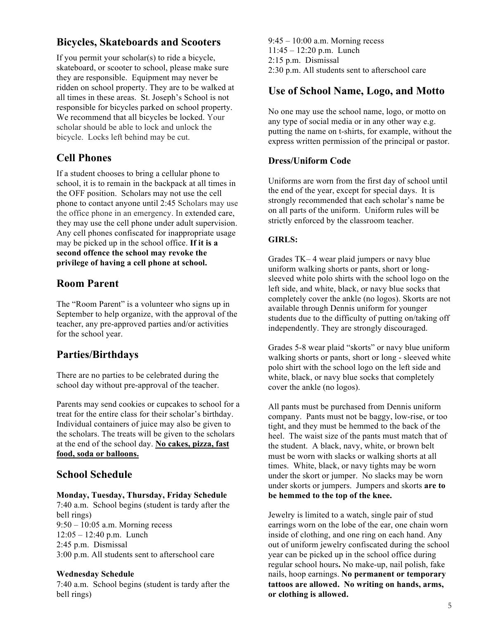# **Bicycles, Skateboards and Scooters**

If you permit your scholar(s) to ride a bicycle, skateboard, or scooter to school, please make sure they are responsible. Equipment may never be ridden on school property. They are to be walked at all times in these areas. St. Joseph's School is not responsible for bicycles parked on school property. We recommend that all bicycles be locked. Your scholar should be able to lock and unlock the bicycle. Locks left behind may be cut.

# **Cell Phones**

If a student chooses to bring a cellular phone to school, it is to remain in the backpack at all times in the OFF position. Scholars may not use the cell phone to contact anyone until 2:45 Scholars may use the office phone in an emergency. In extended care, they may use the cell phone under adult supervision. Any cell phones confiscated for inappropriate usage may be picked up in the school office. **If it is a second offence the school may revoke the privilege of having a cell phone at school.**

# **Room Parent**

The "Room Parent" is a volunteer who signs up in September to help organize, with the approval of the teacher, any pre-approved parties and/or activities for the school year.

# **Parties/Birthdays**

There are no parties to be celebrated during the school day without pre-approval of the teacher.

Parents may send cookies or cupcakes to school for a treat for the entire class for their scholar's birthday. Individual containers of juice may also be given to the scholars. The treats will be given to the scholars at the end of the school day. **No cakes, pizza, fast food, soda or balloons.**

# **School Schedule**

### **Monday, Tuesday, Thursday, Friday Schedule**

7:40 a.m. School begins (student is tardy after the bell rings) 9:50 – 10:05 a.m. Morning recess 12:05 – 12:40 p.m. Lunch 2:45 p.m. Dismissal 3:00 p.m. All students sent to afterschool care

### **Wednesday Schedule**

7:40 a.m. School begins (student is tardy after the bell rings)

9:45 – 10:00 a.m. Morning recess 11:45 – 12:20 p.m. Lunch 2:15 p.m. Dismissal 2:30 p.m. All students sent to afterschool care

# **Use of School Name, Logo, and Motto**

No one may use the school name, logo, or motto on any type of social media or in any other way e.g. putting the name on t-shirts, for example, without the express written permission of the principal or pastor.

### **Dress/Uniform Code**

Uniforms are worn from the first day of school until the end of the year, except for special days. It is strongly recommended that each scholar's name be on all parts of the uniform. Uniform rules will be strictly enforced by the classroom teacher.

### **GIRLS:**

Grades TK– 4 wear plaid jumpers or navy blue uniform walking shorts or pants, short or longsleeved white polo shirts with the school logo on the left side, and white, black, or navy blue socks that completely cover the ankle (no logos). Skorts are not available through Dennis uniform for younger students due to the difficulty of putting on/taking off independently. They are strongly discouraged.

Grades 5-8 wear plaid "skorts" or navy blue uniform walking shorts or pants, short or long - sleeved white polo shirt with the school logo on the left side and white, black, or navy blue socks that completely cover the ankle (no logos).

All pants must be purchased from Dennis uniform company. Pants must not be baggy, low-rise, or too tight, and they must be hemmed to the back of the heel. The waist size of the pants must match that of the student. A black, navy, white, or brown belt must be worn with slacks or walking shorts at all times. White, black, or navy tights may be worn under the skort or jumper. No slacks may be worn under skorts or jumpers. Jumpers and skorts **are to be hemmed to the top of the knee.**

Jewelry is limited to a watch, single pair of stud earrings worn on the lobe of the ear, one chain worn inside of clothing, and one ring on each hand. Any out of uniform jewelry confiscated during the school year can be picked up in the school office during regular school hours**.** No make-up, nail polish, fake nails, hoop earnings. **No permanent or temporary tattoos are allowed. No writing on hands, arms, or clothing is allowed.**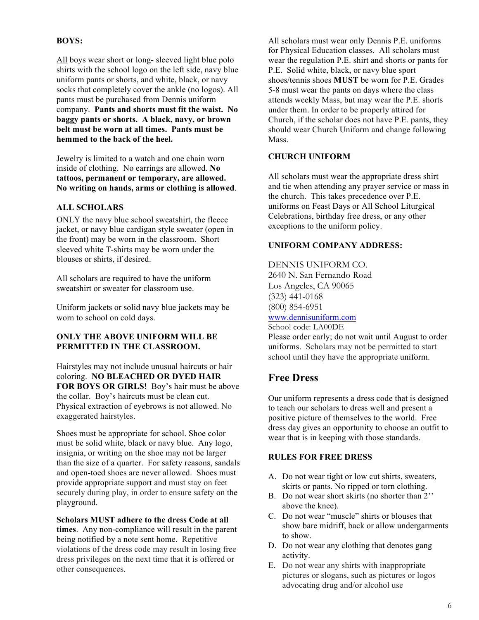### **BOYS:**

All boys wear short or long- sleeved light blue polo shirts with the school logo on the left side, navy blue uniform pants or shorts, and white, black, or navy socks that completely cover the ankle (no logos). All pants must be purchased from Dennis uniform company. **Pants and shorts must fit the waist. No baggy pants or shorts. A black, navy, or brown belt must be worn at all times. Pants must be hemmed to the back of the heel.**

Jewelry is limited to a watch and one chain worn inside of clothing. No earrings are allowed. **No tattoos, permanent or temporary, are allowed. No writing on hands, arms or clothing is allowed**.

### **ALL SCHOLARS**

ONLY the navy blue school sweatshirt, the fleece jacket, or navy blue cardigan style sweater (open in the front) may be worn in the classroom. Short sleeved white T-shirts may be worn under the blouses or shirts, if desired.

All scholars are required to have the uniform sweatshirt or sweater for classroom use.

Uniform jackets or solid navy blue jackets may be worn to school on cold days.

#### **ONLY THE ABOVE UNIFORM WILL BE PERMITTED IN THE CLASSROOM.**

Hairstyles may not include unusual haircuts or hair coloring. **NO BLEACHED OR DYED HAIR FOR BOYS OR GIRLS!** Boy's hair must be above the collar. Boy's haircuts must be clean cut. Physical extraction of eyebrows is not allowed. No exaggerated hairstyles.

Shoes must be appropriate for school. Shoe color must be solid white, black or navy blue. Any logo, insignia, or writing on the shoe may not be larger than the size of a quarter. For safety reasons, sandals and open-toed shoes are never allowed. Shoes must provide appropriate support and must stay on feet securely during play, in order to ensure safety on the playground.

**Scholars MUST adhere to the dress Code at all times**. Any non-compliance will result in the parent being notified by a note sent home. Repetitive violations of the dress code may result in losing free dress privileges on the next time that it is offered or other consequences.

All scholars must wear only Dennis P.E. uniforms for Physical Education classes. All scholars must wear the regulation P.E. shirt and shorts or pants for P.E. Solid white, black, or navy blue sport shoes/tennis shoes **MUST** be worn for P.E. Grades 5-8 must wear the pants on days where the class attends weekly Mass, but may wear the P.E. shorts under them. In order to be properly attired for Church, if the scholar does not have P.E. pants, they should wear Church Uniform and change following Mass.

#### **CHURCH UNIFORM**

All scholars must wear the appropriate dress shirt and tie when attending any prayer service or mass in the church. This takes precedence over P.E. uniforms on Feast Days or All School Liturgical Celebrations, birthday free dress, or any other exceptions to the uniform policy.

#### **UNIFORM COMPANY ADDRESS:**

#### DENNIS UNIFORM CO. 2640 N. San Fernando Road Los Angeles, CA 90065 (323) 441-0168 (800) 854-6951 www.dennisuniform.com School code: LA00DE

Please order early; do not wait until August to order uniforms. Scholars may not be permitted to start school until they have the appropriate uniform.

# **Free Dress**

Our uniform represents a dress code that is designed to teach our scholars to dress well and present a positive picture of themselves to the world. Free dress day gives an opportunity to choose an outfit to wear that is in keeping with those standards.

### **RULES FOR FREE DRESS**

- A. Do not wear tight or low cut shirts, sweaters, skirts or pants. No ripped or torn clothing.
- B. Do not wear short skirts (no shorter than 2'' above the knee).
- C. Do not wear "muscle" shirts or blouses that show bare midriff, back or allow undergarments to show.
- D. Do not wear any clothing that denotes gang activity.
- E. Do not wear any shirts with inappropriate pictures or slogans, such as pictures or logos advocating drug and/or alcohol use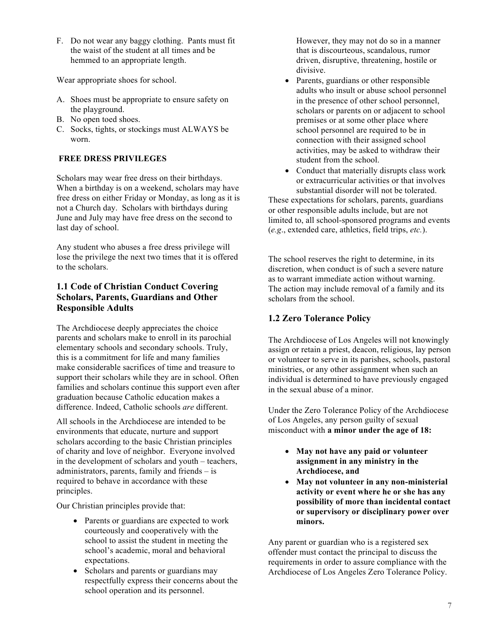F. Do not wear any baggy clothing. Pants must fit the waist of the student at all times and be hemmed to an appropriate length.

Wear appropriate shoes for school.

- A. Shoes must be appropriate to ensure safety on the playground.
- B. No open toed shoes.
- C. Socks, tights, or stockings must ALWAYS be worn.

### **FREE DRESS PRIVILEGES**

Scholars may wear free dress on their birthdays. When a birthday is on a weekend, scholars may have free dress on either Friday or Monday, as long as it is not a Church day. Scholars with birthdays during June and July may have free dress on the second to last day of school.

Any student who abuses a free dress privilege will lose the privilege the next two times that it is offered to the scholars.

# **1.1 Code of Christian Conduct Covering Scholars, Parents, Guardians and Other Responsible Adults**

The Archdiocese deeply appreciates the choice parents and scholars make to enroll in its parochial elementary schools and secondary schools. Truly, this is a commitment for life and many families make considerable sacrifices of time and treasure to support their scholars while they are in school. Often families and scholars continue this support even after graduation because Catholic education makes a difference. Indeed, Catholic schools *are* different.

All schools in the Archdiocese are intended to be environments that educate, nurture and support scholars according to the basic Christian principles of charity and love of neighbor. Everyone involved in the development of scholars and youth – teachers, administrators, parents, family and friends – is required to behave in accordance with these principles.

Our Christian principles provide that:

- Parents or guardians are expected to work courteously and cooperatively with the school to assist the student in meeting the school's academic, moral and behavioral expectations.
- Scholars and parents or guardians may respectfully express their concerns about the school operation and its personnel.

However, they may not do so in a manner that is discourteous, scandalous, rumor driven, disruptive, threatening, hostile or divisive.

- Parents, guardians or other responsible adults who insult or abuse school personnel in the presence of other school personnel, scholars or parents on or adjacent to school premises or at some other place where school personnel are required to be in connection with their assigned school activities, may be asked to withdraw their student from the school.
- Conduct that materially disrupts class work or extracurricular activities or that involves substantial disorder will not be tolerated.

These expectations for scholars, parents, guardians or other responsible adults include, but are not limited to, all school-sponsored programs and events (*e.g*., extended care, athletics, field trips, *etc.*).

The school reserves the right to determine, in its discretion, when conduct is of such a severe nature as to warrant immediate action without warning. The action may include removal of a family and its scholars from the school.

# **1.2 Zero Tolerance Policy**

The Archdiocese of Los Angeles will not knowingly assign or retain a priest, deacon, religious, lay person or volunteer to serve in its parishes, schools, pastoral ministries, or any other assignment when such an individual is determined to have previously engaged in the sexual abuse of a minor.

Under the Zero Tolerance Policy of the Archdiocese of Los Angeles, any person guilty of sexual misconduct with **a minor under the age of 18:**

- **May not have any paid or volunteer assignment in any ministry in the Archdiocese, and**
- **May not volunteer in any non-ministerial activity or event where he or she has any possibility of more than incidental contact or supervisory or disciplinary power over minors.**

Any parent or guardian who is a registered sex offender must contact the principal to discuss the requirements in order to assure compliance with the Archdiocese of Los Angeles Zero Tolerance Policy.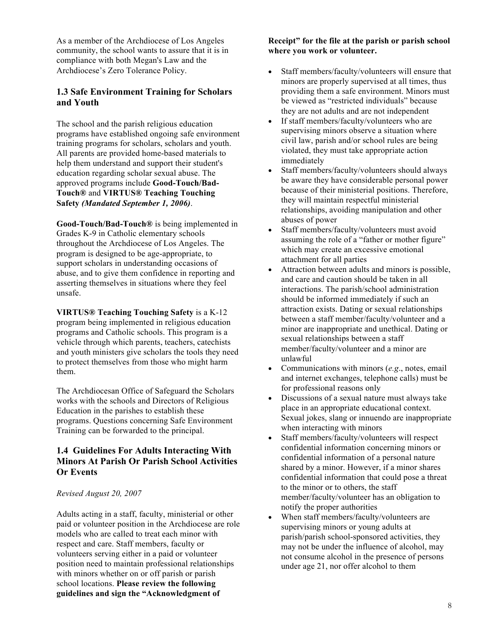As a member of the Archdiocese of Los Angeles community, the school wants to assure that it is in compliance with both Megan's Law and the Archdiocese's Zero Tolerance Policy.

# **1.3 Safe Environment Training for Scholars and Youth**

The school and the parish religious education programs have established ongoing safe environment training programs for scholars, scholars and youth. All parents are provided home-based materials to help them understand and support their student's education regarding scholar sexual abuse. The approved programs include **Good-Touch/Bad-Touch®** and **VIRTUS® Teaching Touching Safety** *(Mandated September 1, 2006)*.

**Good-Touch/Bad-Touch®** is being implemented in Grades K-9 in Catholic elementary schools throughout the Archdiocese of Los Angeles. The program is designed to be age-appropriate, to support scholars in understanding occasions of abuse, and to give them confidence in reporting and asserting themselves in situations where they feel unsafe.

**VIRTUS® Teaching Touching Safety** is a K-12 program being implemented in religious education programs and Catholic schools. This program is a vehicle through which parents, teachers, catechists and youth ministers give scholars the tools they need to protect themselves from those who might harm them.

The Archdiocesan Office of Safeguard the Scholars works with the schools and Directors of Religious Education in the parishes to establish these programs. Questions concerning Safe Environment Training can be forwarded to the principal.

### **1.4 Guidelines For Adults Interacting With Minors At Parish Or Parish School Activities Or Events**

### *Revised August 20, 2007*

Adults acting in a staff, faculty, ministerial or other paid or volunteer position in the Archdiocese are role models who are called to treat each minor with respect and care. Staff members, faculty or volunteers serving either in a paid or volunteer position need to maintain professional relationships with minors whether on or off parish or parish school locations. **Please review the following guidelines and sign the "Acknowledgment of** 

**Receipt" for the file at the parish or parish school where you work or volunteer.** 

- Staff members/faculty/volunteers will ensure that minors are properly supervised at all times, thus providing them a safe environment. Minors must be viewed as "restricted individuals" because they are not adults and are not independent
- If staff members/faculty/volunteers who are supervising minors observe a situation where civil law, parish and/or school rules are being violated, they must take appropriate action immediately
- Staff members/faculty/volunteers should always be aware they have considerable personal power because of their ministerial positions. Therefore, they will maintain respectful ministerial relationships, avoiding manipulation and other abuses of power
- Staff members/faculty/volunteers must avoid assuming the role of a "father or mother figure" which may create an excessive emotional attachment for all parties
- Attraction between adults and minors is possible, and care and caution should be taken in all interactions. The parish/school administration should be informed immediately if such an attraction exists. Dating or sexual relationships between a staff member/faculty/volunteer and a minor are inappropriate and unethical. Dating or sexual relationships between a staff member/faculty/volunteer and a minor are unlawful
- Communications with minors (*e.g*., notes, email and internet exchanges, telephone calls) must be for professional reasons only
- Discussions of a sexual nature must always take place in an appropriate educational context. Sexual jokes, slang or innuendo are inappropriate when interacting with minors
- Staff members/faculty/volunteers will respect confidential information concerning minors or confidential information of a personal nature shared by a minor. However, if a minor shares confidential information that could pose a threat to the minor or to others, the staff member/faculty/volunteer has an obligation to notify the proper authorities
- When staff members/faculty/volunteers are supervising minors or young adults at parish/parish school-sponsored activities, they may not be under the influence of alcohol, may not consume alcohol in the presence of persons under age 21, nor offer alcohol to them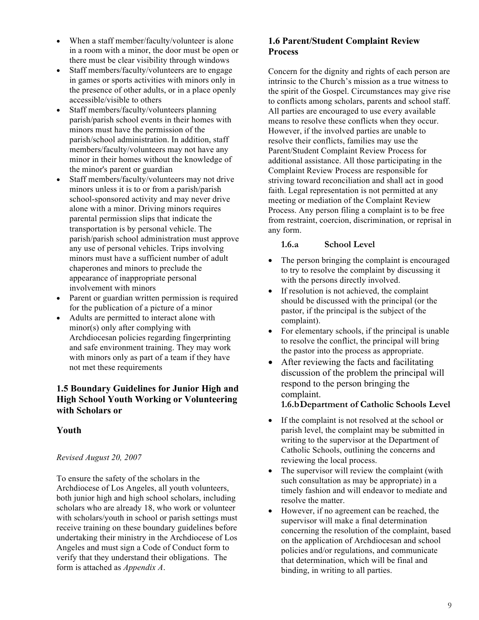- When a staff member/faculty/volunteer is alone in a room with a minor, the door must be open or there must be clear visibility through windows
- Staff members/faculty/volunteers are to engage in games or sports activities with minors only in the presence of other adults, or in a place openly accessible/visible to others
- Staff members/faculty/volunteers planning parish/parish school events in their homes with minors must have the permission of the parish/school administration. In addition, staff members/faculty/volunteers may not have any minor in their homes without the knowledge of the minor's parent or guardian
- Staff members/faculty/volunteers may not drive minors unless it is to or from a parish/parish school-sponsored activity and may never drive alone with a minor. Driving minors requires parental permission slips that indicate the transportation is by personal vehicle. The parish/parish school administration must approve any use of personal vehicles. Trips involving minors must have a sufficient number of adult chaperones and minors to preclude the appearance of inappropriate personal involvement with minors
- Parent or guardian written permission is required for the publication of a picture of a minor
- Adults are permitted to interact alone with minor(s) only after complying with Archdiocesan policies regarding fingerprinting and safe environment training. They may work with minors only as part of a team if they have not met these requirements

# **1.5 Boundary Guidelines for Junior High and High School Youth Working or Volunteering with Scholars or**

# **Youth**

# *Revised August 20, 2007*

To ensure the safety of the scholars in the Archdiocese of Los Angeles, all youth volunteers, both junior high and high school scholars, including scholars who are already 18, who work or volunteer with scholars/youth in school or parish settings must receive training on these boundary guidelines before undertaking their ministry in the Archdiocese of Los Angeles and must sign a Code of Conduct form to verify that they understand their obligations. The form is attached as *Appendix A*.

# **1.6 Parent/Student Complaint Review Process**

Concern for the dignity and rights of each person are intrinsic to the Church's mission as a true witness to the spirit of the Gospel. Circumstances may give rise to conflicts among scholars, parents and school staff. All parties are encouraged to use every available means to resolve these conflicts when they occur. However, if the involved parties are unable to resolve their conflicts, families may use the Parent/Student Complaint Review Process for additional assistance. All those participating in the Complaint Review Process are responsible for striving toward reconciliation and shall act in good faith. Legal representation is not permitted at any meeting or mediation of the Complaint Review Process. Any person filing a complaint is to be free from restraint, coercion, discrimination, or reprisal in any form.

### **1.6.a School Level**

- The person bringing the complaint is encouraged to try to resolve the complaint by discussing it with the persons directly involved.
- If resolution is not achieved, the complaint should be discussed with the principal (or the pastor, if the principal is the subject of the complaint).
- For elementary schools, if the principal is unable to resolve the conflict, the principal will bring the pastor into the process as appropriate.
- After reviewing the facts and facilitating discussion of the problem the principal will respond to the person bringing the complaint.

# **1.6.bDepartment of Catholic Schools Level**

- If the complaint is not resolved at the school or parish level, the complaint may be submitted in writing to the supervisor at the Department of Catholic Schools, outlining the concerns and reviewing the local process.
- The supervisor will review the complaint (with such consultation as may be appropriate) in a timely fashion and will endeavor to mediate and resolve the matter.
- However, if no agreement can be reached, the supervisor will make a final determination concerning the resolution of the complaint, based on the application of Archdiocesan and school policies and/or regulations, and communicate that determination, which will be final and binding, in writing to all parties.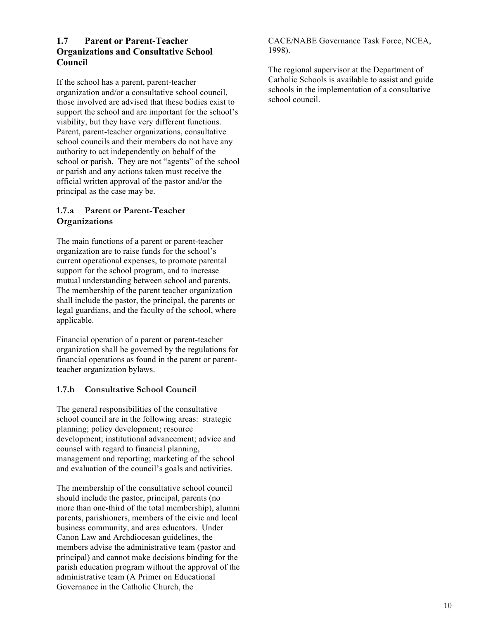# **1.7 Parent or Parent-Teacher Organizations and Consultative School Council**

If the school has a parent, parent-teacher organization and/or a consultative school council, those involved are advised that these bodies exist to support the school and are important for the school's viability, but they have very different functions. Parent, parent-teacher organizations, consultative school councils and their members do not have any authority to act independently on behalf of the school or parish. They are not "agents" of the school or parish and any actions taken must receive the official written approval of the pastor and/or the principal as the case may be.

# **1.7.a Parent or Parent-Teacher Organizations**

The main functions of a parent or parent-teacher organization are to raise funds for the school's current operational expenses, to promote parental support for the school program, and to increase mutual understanding between school and parents. The membership of the parent teacher organization shall include the pastor, the principal, the parents or legal guardians, and the faculty of the school, where applicable.

Financial operation of a parent or parent-teacher organization shall be governed by the regulations for financial operations as found in the parent or parentteacher organization bylaws.

# **1.7.b Consultative School Council**

The general responsibilities of the consultative school council are in the following areas: strategic planning; policy development; resource development; institutional advancement; advice and counsel with regard to financial planning, management and reporting; marketing of the school and evaluation of the council's goals and activities.

The membership of the consultative school council should include the pastor, principal, parents (no more than one-third of the total membership), alumni parents, parishioners, members of the civic and local business community, and area educators. Under Canon Law and Archdiocesan guidelines, the members advise the administrative team (pastor and principal) and cannot make decisions binding for the parish education program without the approval of the administrative team (A Primer on Educational Governance in the Catholic Church, the

CACE/NABE Governance Task Force, NCEA, 1998).

The regional supervisor at the Department of Catholic Schools is available to assist and guide schools in the implementation of a consultative school council.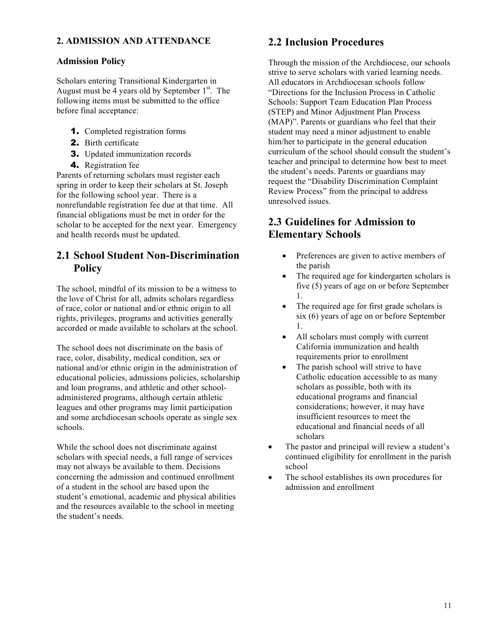# **2. ADMISSION AND ATTENDANCE**

# **Admission Policy**

Scholars entering Transitional Kindergarten in August must be  $\overline{4}$  years old by September 1<sup>st</sup>. The following items must be submitted to the office before final acceptance:

- 1. Completed registration forms
- 2. Birth certificate
- 3. Updated immunization records
- 4. Registration fee

Parents of returning scholars must register each spring in order to keep their scholars at St. Joseph for the following school year. There is a nonrefundable registration fee due at that time. All financial obligations must be met in order for the scholar to be accepted for the next year. Emergency and health records must be updated.

# **2.1 School Student Non-Discrimination Policy**

The school, mindful of its mission to be a witness to the love of Christ for all, admits scholars regardless of race, color or national and/or ethnic origin to all rights, privileges, programs and activities generally accorded or made available to scholars at the school.

The school does not discriminate on the basis of race, color, disability, medical condition, sex or national and/or ethnic origin in the administration of educational policies, admissions policies, scholarship and loan programs, and athletic and other schooladministered programs, although certain athletic leagues and other programs may limit participation and some archdiocesan schools operate as single sex schools.

While the school does not discriminate against scholars with special needs, a full range of services may not always be available to them. Decisions concerning the admission and continued enrollment of a student in the school are based upon the student's emotional, academic and physical abilities and the resources available to the school in meeting the student's needs.

# **2.2 Inclusion Procedures**

Through the mission of the Archdiocese, our schools strive to serve scholars with varied learning needs. All educators in Archdiocesan schools follow "Directions for the Inclusion Process in Catholic Schools: Support Team Education Plan Process (STEP) and Minor Adjustment Plan Process (MAP)". Parents or guardians who feel that their student may need a minor adjustment to enable him/her to participate in the general education curriculum of the school should consult the student's teacher and principal to determine how best to meet the student's needs. Parents or guardians may request the "Disability Discrimination Complaint Review Process" from the principal to address unresolved issues.

# **2.3 Guidelines for Admission to Elementary Schools**

- Preferences are given to active members of the parish
- The required age for kindergarten scholars is five (5) years of age on or before September 1.
- The required age for first grade scholars is six (6) years of age on or before September 1.
- All scholars must comply with current California immunization and health requirements prior to enrollment
- The parish school will strive to have Catholic education accessible to as many scholars as possible, both with its educational programs and financial considerations; however, it may have insufficient resources to meet the educational and financial needs of all scholars
- The pastor and principal will review a student's continued eligibility for enrollment in the parish school
- The school establishes its own procedures for admission and enrollment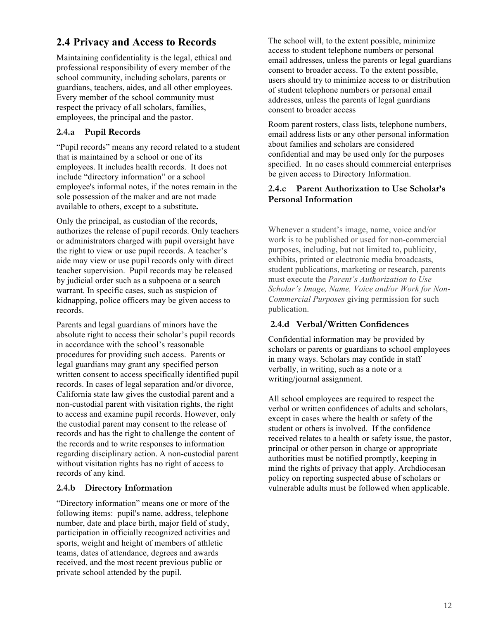# **2.4 Privacy and Access to Records**

Maintaining confidentiality is the legal, ethical and professional responsibility of every member of the school community, including scholars, parents or guardians, teachers, aides, and all other employees. Every member of the school community must respect the privacy of all scholars, families, employees, the principal and the pastor.

# **2.4.a Pupil Records**

"Pupil records" means any record related to a student that is maintained by a school or one of its employees. It includes health records. It does not include "directory information" or a school employee's informal notes, if the notes remain in the sole possession of the maker and are not made available to others, except to a substitute**.**

Only the principal, as custodian of the records, authorizes the release of pupil records. Only teachers or administrators charged with pupil oversight have the right to view or use pupil records. A teacher's aide may view or use pupil records only with direct teacher supervision. Pupil records may be released by judicial order such as a subpoena or a search warrant. In specific cases, such as suspicion of kidnapping, police officers may be given access to records.

Parents and legal guardians of minors have the absolute right to access their scholar's pupil records in accordance with the school's reasonable procedures for providing such access. Parents or legal guardians may grant any specified person written consent to access specifically identified pupil records. In cases of legal separation and/or divorce, California state law gives the custodial parent and a non-custodial parent with visitation rights, the right to access and examine pupil records. However, only the custodial parent may consent to the release of records and has the right to challenge the content of the records and to write responses to information regarding disciplinary action. A non-custodial parent without visitation rights has no right of access to records of any kind.

# **2.4.b Directory Information**

"Directory information" means one or more of the following items: pupil's name, address, telephone number, date and place birth, major field of study, participation in officially recognized activities and sports, weight and height of members of athletic teams, dates of attendance, degrees and awards received, and the most recent previous public or private school attended by the pupil.

The school will, to the extent possible, minimize access to student telephone numbers or personal email addresses, unless the parents or legal guardians consent to broader access. To the extent possible, users should try to minimize access to or distribution of student telephone numbers or personal email addresses, unless the parents of legal guardians consent to broader access

Room parent rosters, class lists, telephone numbers, email address lists or any other personal information about families and scholars are considered confidential and may be used only for the purposes specified. In no cases should commercial enterprises be given access to Directory Information.

### **2.4.c Parent Authorization to Use Scholar's Personal Information**

Whenever a student's image, name, voice and/or work is to be published or used for non-commercial purposes, including, but not limited to, publicity, exhibits, printed or electronic media broadcasts, student publications, marketing or research, parents must execute the *Parent's Authorization to Use Scholar's Image, Name, Voice and/or Work for Non-Commercial Purposes* giving permission for such publication.

# **2.4.d Verbal/Written Confidences**

Confidential information may be provided by scholars or parents or guardians to school employees in many ways. Scholars may confide in staff verbally, in writing, such as a note or a writing/journal assignment.

All school employees are required to respect the verbal or written confidences of adults and scholars, except in cases where the health or safety of the student or others is involved. If the confidence received relates to a health or safety issue, the pastor, principal or other person in charge or appropriate authorities must be notified promptly, keeping in mind the rights of privacy that apply. Archdiocesan policy on reporting suspected abuse of scholars or vulnerable adults must be followed when applicable.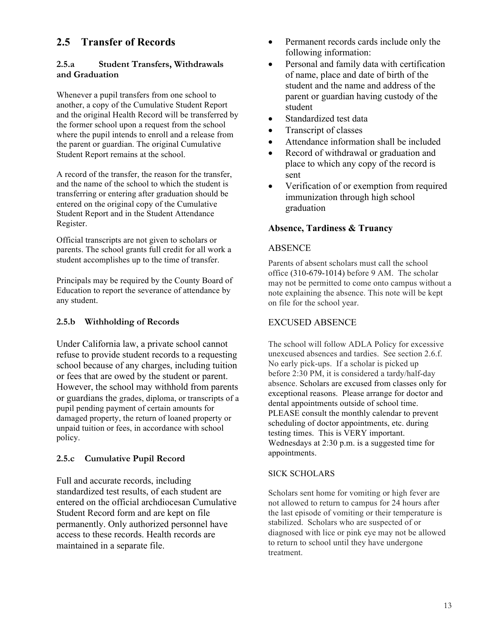# **2.5 Transfer of Records**

### **2.5.a Student Transfers, Withdrawals and Graduation**

Whenever a pupil transfers from one school to another, a copy of the Cumulative Student Report and the original Health Record will be transferred by the former school upon a request from the school where the pupil intends to enroll and a release from the parent or guardian. The original Cumulative Student Report remains at the school.

A record of the transfer, the reason for the transfer, and the name of the school to which the student is transferring or entering after graduation should be entered on the original copy of the Cumulative Student Report and in the Student Attendance Register.

Official transcripts are not given to scholars or parents. The school grants full credit for all work a student accomplishes up to the time of transfer.

Principals may be required by the County Board of Education to report the severance of attendance by any student.

### **2.5.b Withholding of Records**

Under California law, a private school cannot refuse to provide student records to a requesting school because of any charges, including tuition or fees that are owed by the student or parent. However, the school may withhold from parents or guardians the grades, diploma, or transcripts of a pupil pending payment of certain amounts for damaged property, the return of loaned property or unpaid tuition or fees, in accordance with school policy.

# **2.5.c Cumulative Pupil Record**

Full and accurate records, including standardized test results, of each student are entered on the official archdiocesan Cumulative Student Record form and are kept on file permanently. Only authorized personnel have access to these records. Health records are maintained in a separate file.

- Permanent records cards include only the following information:
- Personal and family data with certification of name, place and date of birth of the student and the name and address of the parent or guardian having custody of the student
- Standardized test data
- Transcript of classes
- Attendance information shall be included
- Record of withdrawal or graduation and place to which any copy of the record is sent
- Verification of or exemption from required immunization through high school graduation

# **Absence, Tardiness & Truancy**

### ABSENCE

Parents of absent scholars must call the school office (310-679-1014) before 9 AM. The scholar may not be permitted to come onto campus without a note explaining the absence. This note will be kept on file for the school year.

# EXCUSED ABSENCE

The school will follow ADLA Policy for excessive unexcused absences and tardies. See section 2.6.f. No early pick-ups. If a scholar is picked up before 2:30 PM, it is considered a tardy/half-day absence. Scholars are excused from classes only for exceptional reasons. Please arrange for doctor and dental appointments outside of school time. PLEASE consult the monthly calendar to prevent scheduling of doctor appointments, etc. during testing times. This is VERY important. Wednesdays at 2:30 p.m. is a suggested time for appointments.

### SICK SCHOLARS

Scholars sent home for vomiting or high fever are not allowed to return to campus for 24 hours after the last episode of vomiting or their temperature is stabilized. Scholars who are suspected of or diagnosed with lice or pink eye may not be allowed to return to school until they have undergone treatment.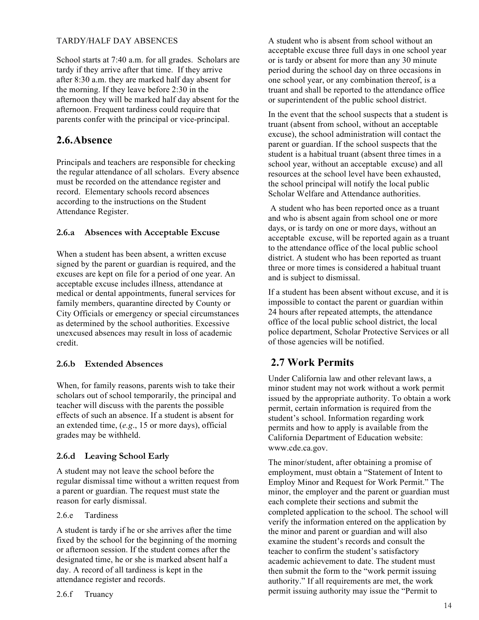### TARDY/HALF DAY ABSENCES

School starts at 7:40 a.m. for all grades. Scholars are tardy if they arrive after that time. If they arrive after 8:30 a.m. they are marked half day absent for the morning. If they leave before 2:30 in the afternoon they will be marked half day absent for the afternoon. Frequent tardiness could require that parents confer with the principal or vice-principal.

# **2.6.Absence**

Principals and teachers are responsible for checking the regular attendance of all scholars. Every absence must be recorded on the attendance register and record. Elementary schools record absences according to the instructions on the Student Attendance Register.

### **2.6.a Absences with Acceptable Excuse**

When a student has been absent, a written excuse signed by the parent or guardian is required, and the excuses are kept on file for a period of one year. An acceptable excuse includes illness, attendance at medical or dental appointments, funeral services for family members, quarantine directed by County or City Officials or emergency or special circumstances as determined by the school authorities. Excessive unexcused absences may result in loss of academic credit.

### **2.6.b Extended Absences**

When, for family reasons, parents wish to take their scholars out of school temporarily, the principal and teacher will discuss with the parents the possible effects of such an absence. If a student is absent for an extended time, (*e.g*., 15 or more days), official grades may be withheld.

### **2.6.d Leaving School Early**

A student may not leave the school before the regular dismissal time without a written request from a parent or guardian. The request must state the reason for early dismissal.

#### 2.6.e Tardiness

A student is tardy if he or she arrives after the time fixed by the school for the beginning of the morning or afternoon session. If the student comes after the designated time, he or she is marked absent half a day. A record of all tardiness is kept in the attendance register and records.

A student who is absent from school without an acceptable excuse three full days in one school year or is tardy or absent for more than any 30 minute period during the school day on three occasions in one school year, or any combination thereof, is a truant and shall be reported to the attendance office or superintendent of the public school district.

In the event that the school suspects that a student is truant (absent from school, without an acceptable excuse), the school administration will contact the parent or guardian. If the school suspects that the student is a habitual truant (absent three times in a school year, without an acceptable excuse) and all resources at the school level have been exhausted, the school principal will notify the local public Scholar Welfare and Attendance authorities.

A student who has been reported once as a truant and who is absent again from school one or more days, or is tardy on one or more days, without an acceptable excuse, will be reported again as a truant to the attendance office of the local public school district. A student who has been reported as truant three or more times is considered a habitual truant and is subject to dismissal.

If a student has been absent without excuse, and it is impossible to contact the parent or guardian within 24 hours after repeated attempts, the attendance office of the local public school district, the local police department, Scholar Protective Services or all of those agencies will be notified.

# **2.7 Work Permits**

Under California law and other relevant laws, a minor student may not work without a work permit issued by the appropriate authority. To obtain a work permit, certain information is required from the student's school. Information regarding work permits and how to apply is available from the California Department of Education website: www.cde.ca.gov.

The minor/student, after obtaining a promise of employment, must obtain a "Statement of Intent to Employ Minor and Request for Work Permit." The minor, the employer and the parent or guardian must each complete their sections and submit the completed application to the school. The school will verify the information entered on the application by the minor and parent or guardian and will also examine the student's records and consult the teacher to confirm the student's satisfactory academic achievement to date. The student must then submit the form to the "work permit issuing authority." If all requirements are met, the work permit issuing authority may issue the "Permit to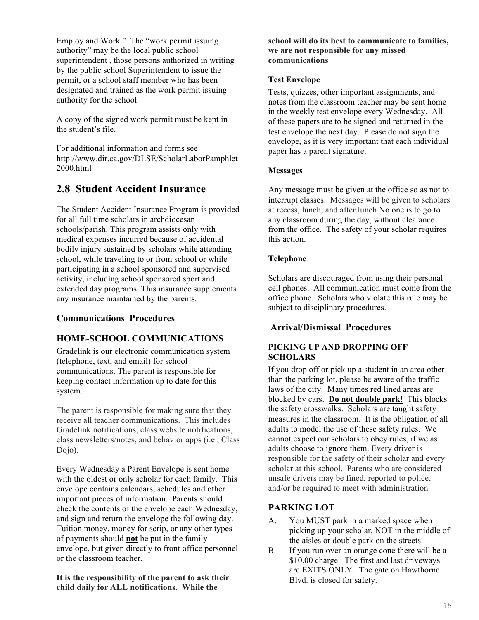Employ and Work." The "work permit issuing authority" may be the local public school superintendent , those persons authorized in writing by the public school Superintendent to issue the permit, or a school staff member who has been designated and trained as the work permit issuing authority for the school.

A copy of the signed work permit must be kept in the student's file.

For additional information and forms see http://www.dir.ca.gov/DLSE/ScholarLaborPamphlet 2000.html

# **2.8 Student Accident Insurance**

The Student Accident Insurance Program is provided for all full time scholars in archdiocesan schools/parish. This program assists only with medical expenses incurred because of accidental bodily injury sustained by scholars while attending school, while traveling to or from school or while participating in a school sponsored and supervised activity, including school sponsored sport and extended day programs. This insurance supplements any insurance maintained by the parents.

### **Communications Procedures**

# **HOME-SCHOOL COMMUNICATIONS**

Gradelink is our electronic communication system (telephone, text, and email) for school communications. The parent is responsible for keeping contact information up to date for this system.

The parent is responsible for making sure that they receive all teacher communications. This includes Gradelink notifications, class website notifications, class newsletters/notes, and behavior apps (i.e., Class Dojo).

Every Wednesday a Parent Envelope is sent home with the oldest or only scholar for each family. This envelope contains calendars, schedules and other important pieces of information. Parents should check the contents of the envelope each Wednesday, and sign and return the envelope the following day. Tuition money, money for scrip, or any other types of payments should **not** be put in the family envelope, but given directly to front office personnel or the classroom teacher.

**It is the responsibility of the parent to ask their child daily for ALL notifications. While the** 

**school will do its best to communicate to families, we are not responsible for any missed communications**

#### **Test Envelope**

Tests, quizzes, other important assignments, and notes from the classroom teacher may be sent home in the weekly test envelope every Wednesday. All of these papers are to be signed and returned in the test envelope the next day. Please do not sign the envelope, as it is very important that each individual paper has a parent signature.

### **Messages**

Any message must be given at the office so as not to interrupt classes. Messages will be given to scholars at recess, lunch, and after lunch No one is to go to any classroom during the day, without clearance from the office. The safety of your scholar requires this action.

### **Telephone**

Scholars are discouraged from using their personal cell phones. All communication must come from the office phone. Scholars who violate this rule may be subject to disciplinary procedures.

# **Arrival/Dismissal Procedures**

### **PICKING UP AND DROPPING OFF SCHOLARS**

If you drop off or pick up a student in an area other than the parking lot, please be aware of the traffic laws of the city. Many times red lined areas are blocked by cars. **Do not double park!** This blocks the safety crosswalks. Scholars are taught safety measures in the classroom. It is the obligation of all adults to model the use of these safety rules. We cannot expect our scholars to obey rules, if we as adults choose to ignore them. Every driver is responsible for the safety of their scholar and every scholar at this school. Parents who are considered unsafe drivers may be fined, reported to police, and/or be required to meet with administration

# **PARKING LOT**

- A. You MUST park in a marked space when picking up your scholar, NOT in the middle of the aisles or double park on the streets.
- B. If you run over an orange cone there will be a \$10.00 charge. The first and last driveways are EXITS ONLY. The gate on Hawthorne Blvd. is closed for safety.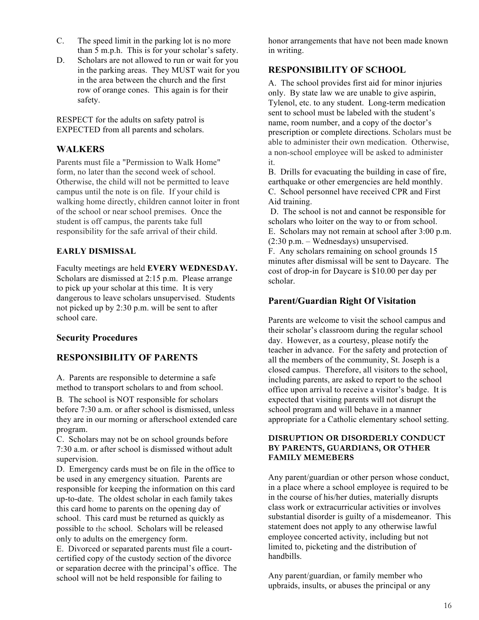- C. The speed limit in the parking lot is no more than 5 m.p.h. This is for your scholar's safety.
- D. Scholars are not allowed to run or wait for you in the parking areas. They MUST wait for you in the area between the church and the first row of orange cones. This again is for their safety.

RESPECT for the adults on safety patrol is EXPECTED from all parents and scholars.

# **WALKERS**

Parents must file a "Permission to Walk Home" form, no later than the second week of school. Otherwise, the child will not be permitted to leave campus until the note is on file. If your child is walking home directly, children cannot loiter in front of the school or near school premises. Once the student is off campus, the parents take full responsibility for the safe arrival of their child.

### **EARLY DISMISSAL**

Faculty meetings are held **EVERY WEDNESDAY.**  Scholars are dismissed at 2:15 p.m. Please arrange to pick up your scholar at this time. It is very dangerous to leave scholars unsupervised. Students not picked up by 2:30 p.m. will be sent to after school care.

# **Security Procedures**

# **RESPONSIBILITY OF PARENTS**

A. Parents are responsible to determine a safe method to transport scholars to and from school.

B*.* The school is NOT responsible for scholars before 7:30 a.m. or after school is dismissed, unless they are in our morning or afterschool extended care program.

C. Scholars may not be on school grounds before 7:30 a.m. or after school is dismissed without adult supervision.

D. Emergency cards must be on file in the office to be used in any emergency situation. Parents are responsible for keeping the information on this card up-to-date. The oldest scholar in each family takes this card home to parents on the opening day of school. This card must be returned as quickly as possible to the school. Scholars will be released only to adults on the emergency form.

E. Divorced or separated parents must file a courtcertified copy of the custody section of the divorce or separation decree with the principal's office. The school will not be held responsible for failing to

honor arrangements that have not been made known in writing.

### **RESPONSIBILITY OF SCHOOL**

A. The school provides first aid for minor injuries only. By state law we are unable to give aspirin, Tylenol, etc. to any student. Long-term medication sent to school must be labeled with the student's name, room number, and a copy of the doctor's prescription or complete directions. Scholars must be able to administer their own medication. Otherwise, a non-school employee will be asked to administer it.

B. Drills for evacuating the building in case of fire, earthquake or other emergencies are held monthly. C. School personnel have received CPR and First Aid training.

D. The school is not and cannot be responsible for scholars who loiter on the way to or from school. E. Scholars may not remain at school after 3:00 p.m. (2:30 p.m. – Wednesdays) unsupervised.

F. Any scholars remaining on school grounds 15 minutes after dismissal will be sent to Daycare. The cost of drop-in for Daycare is \$10.00 per day per scholar.

### **Parent/Guardian Right Of Visitation**

Parents are welcome to visit the school campus and their scholar's classroom during the regular school day. However, as a courtesy, please notify the teacher in advance. For the safety and protection of all the members of the community, St. Joseph is a closed campus. Therefore, all visitors to the school, including parents, are asked to report to the school office upon arrival to receive a visitor's badge. It is expected that visiting parents will not disrupt the school program and will behave in a manner appropriate for a Catholic elementary school setting.

#### **DISRUPTION OR DISORDERLY CONDUCT BY PARENTS, GUARDIANS, OR OTHER FAMILY MEMEBERS**

Any parent/guardian or other person whose conduct, in a place where a school employee is required to be in the course of his/her duties, materially disrupts class work or extracurricular activities or involves substantial disorder is guilty of a misdemeanor. This statement does not apply to any otherwise lawful employee concerted activity, including but not limited to, picketing and the distribution of handbills.

Any parent/guardian, or family member who upbraids, insults, or abuses the principal or any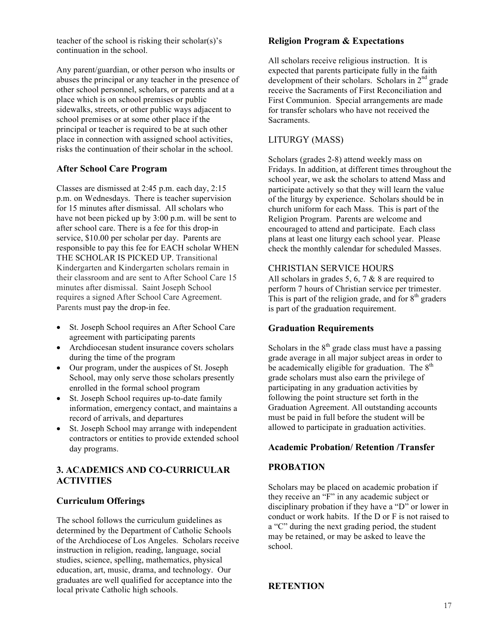teacher of the school is risking their scholar(s)'s continuation in the school.

Any parent/guardian, or other person who insults or abuses the principal or any teacher in the presence of other school personnel, scholars, or parents and at a place which is on school premises or public sidewalks, streets, or other public ways adjacent to school premises or at some other place if the principal or teacher is required to be at such other place in connection with assigned school activities, risks the continuation of their scholar in the school.

### **After School Care Program**

Classes are dismissed at 2:45 p.m. each day, 2:15 p.m. on Wednesdays. There is teacher supervision for 15 minutes after dismissal. All scholars who have not been picked up by 3:00 p.m. will be sent to after school care. There is a fee for this drop-in service, \$10.00 per scholar per day. Parents are responsible to pay this fee for EACH scholar WHEN THE SCHOLAR IS PICKED UP. Transitional Kindergarten and Kindergarten scholars remain in their classroom and are sent to After School Care 15 minutes after dismissal. Saint Joseph School requires a signed After School Care Agreement. Parents must pay the drop-in fee.

- St. Joseph School requires an After School Care agreement with participating parents
- Archdiocesan student insurance covers scholars during the time of the program
- Our program, under the auspices of St. Joseph School, may only serve those scholars presently enrolled in the formal school program
- St. Joseph School requires up-to-date family information, emergency contact, and maintains a record of arrivals, and departures
- St. Joseph School may arrange with independent contractors or entities to provide extended school day programs.

### **3. ACADEMICS AND CO-CURRICULAR ACTIVITIES**

#### **Curriculum Offerings**

The school follows the curriculum guidelines as determined by the Department of Catholic Schools of the Archdiocese of Los Angeles. Scholars receive instruction in religion, reading, language, social studies, science, spelling, mathematics, physical education, art, music, drama, and technology. Our graduates are well qualified for acceptance into the local private Catholic high schools.

#### **Religion Program & Expectations**

All scholars receive religious instruction. It is expected that parents participate fully in the faith development of their scholars. Scholars in  $2<sup>nd</sup>$  grade receive the Sacraments of First Reconciliation and First Communion. Special arrangements are made for transfer scholars who have not received the **Sacraments** 

#### LITURGY (MASS)

Scholars (grades 2-8) attend weekly mass on Fridays. In addition, at different times throughout the school year, we ask the scholars to attend Mass and participate actively so that they will learn the value of the liturgy by experience. Scholars should be in church uniform for each Mass. This is part of the Religion Program. Parents are welcome and encouraged to attend and participate. Each class plans at least one liturgy each school year. Please check the monthly calendar for scheduled Masses.

#### CHRISTIAN SERVICE HOURS

All scholars in grades 5, 6, 7  $\&$  8 are required to perform 7 hours of Christian service per trimester. This is part of the religion grade, and for  $8<sup>th</sup>$  graders is part of the graduation requirement.

#### **Graduation Requirements**

Scholars in the  $8<sup>th</sup>$  grade class must have a passing grade average in all major subject areas in order to be academically eligible for graduation. The  $8<sup>th</sup>$ grade scholars must also earn the privilege of participating in any graduation activities by following the point structure set forth in the Graduation Agreement. All outstanding accounts must be paid in full before the student will be allowed to participate in graduation activities.

#### **Academic Probation/ Retention /Transfer**

#### **PROBATION**

Scholars may be placed on academic probation if they receive an "F" in any academic subject or disciplinary probation if they have a "D" or lower in conduct or work habits. If the D or F is not raised to a "C" during the next grading period, the student may be retained, or may be asked to leave the school.

#### **RETENTION**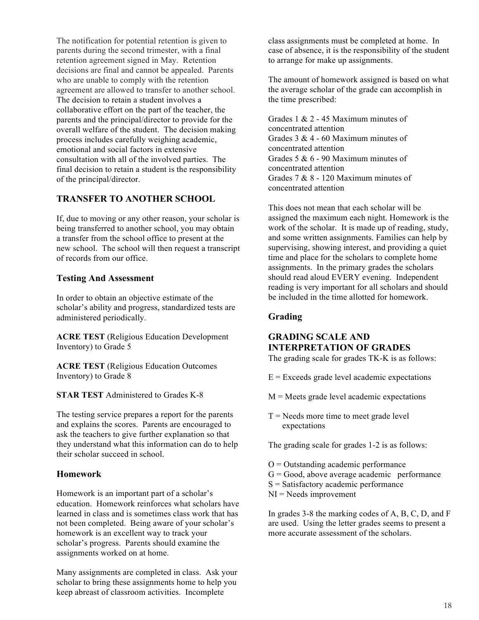The notification for potential retention is given to parents during the second trimester, with a final retention agreement signed in May. Retention decisions are final and cannot be appealed. Parents who are unable to comply with the retention agreement are allowed to transfer to another school. The decision to retain a student involves a collaborative effort on the part of the teacher, the parents and the principal/director to provide for the overall welfare of the student. The decision making process includes carefully weighing academic, emotional and social factors in extensive consultation with all of the involved parties. The final decision to retain a student is the responsibility of the principal/director.

# **TRANSFER TO ANOTHER SCHOOL**

If, due to moving or any other reason, your scholar is being transferred to another school, you may obtain a transfer from the school office to present at the new school. The school will then request a transcript of records from our office.

### **Testing And Assessment**

In order to obtain an objective estimate of the scholar's ability and progress, standardized tests are administered periodically.

**ACRE TEST** (Religious Education Development Inventory) to Grade 5

**ACRE TEST** (Religious Education Outcomes Inventory) to Grade 8

**STAR TEST** Administered to Grades K-8

The testing service prepares a report for the parents and explains the scores. Parents are encouraged to ask the teachers to give further explanation so that they understand what this information can do to help their scholar succeed in school.

# **Homework**

Homework is an important part of a scholar's education. Homework reinforces what scholars have learned in class and is sometimes class work that has not been completed. Being aware of your scholar's homework is an excellent way to track your scholar's progress. Parents should examine the assignments worked on at home.

Many assignments are completed in class. Ask your scholar to bring these assignments home to help you keep abreast of classroom activities. Incomplete

class assignments must be completed at home. In case of absence, it is the responsibility of the student to arrange for make up assignments.

The amount of homework assigned is based on what the average scholar of the grade can accomplish in the time prescribed:

Grades 1 & 2 - 45 Maximum minutes of concentrated attention Grades  $3 & 4 - 60$  Maximum minutes of concentrated attention Grades 5 & 6 - 90 Maximum minutes of concentrated attention Grades 7 & 8 - 120 Maximum minutes of concentrated attention

This does not mean that each scholar will be assigned the maximum each night. Homework is the work of the scholar. It is made up of reading, study, and some written assignments. Families can help by supervising, showing interest, and providing a quiet time and place for the scholars to complete home assignments. In the primary grades the scholars should read aloud EVERY evening. Independent reading is very important for all scholars and should be included in the time allotted for homework.

# **Grading**

# **GRADING SCALE AND INTERPRETATION OF GRADES**

The grading scale for grades TK-K is as follows:

- $E =$  Exceeds grade level academic expectations
- $M =$  Meets grade level academic expectations
- $T =$  Needs more time to meet grade level expectations

The grading scale for grades 1-2 is as follows:

- $O =$  Outstanding academic performance
- $G = Good$ , above average academic performance
- $S = S$ atisfactory academic performance
- $NI = N$ eeds improvement

In grades 3-8 the marking codes of A, B, C, D, and F are used. Using the letter grades seems to present a more accurate assessment of the scholars.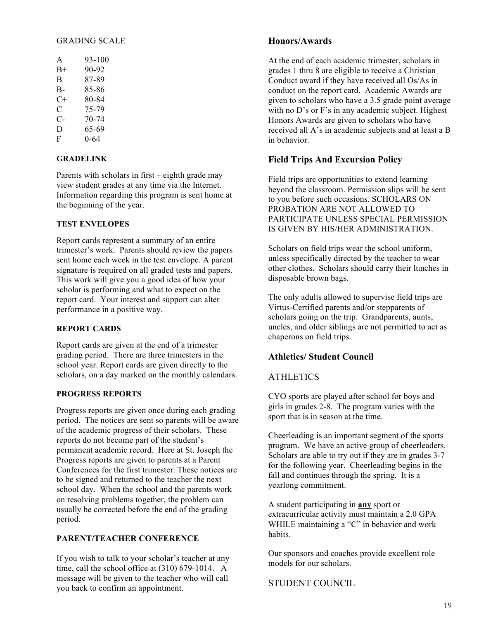#### GRADING SCALE

| A    | 93-100 |
|------|--------|
| $B+$ | 90-92  |
| В    | 87-89  |
| В-   | 85-86  |
| C+   | 80-84  |
| C    | 75-79  |
| С-   | 70-74  |
| D    | 65-69  |
| F    | 0-64   |
|      |        |

#### **GRADELINK**

Parents with scholars in first – eighth grade may view student grades at any time via the Internet. Information regarding this program is sent home at the beginning of the year.

#### **TEST ENVELOPES**

Report cards represent a summary of an entire trimester's work. Parents should review the papers sent home each week in the test envelope. A parent signature is required on all graded tests and papers. This work will give you a good idea of how your scholar is performing and what to expect on the report card. Your interest and support can alter performance in a positive way.

#### **REPORT CARDS**

Report cards are given at the end of a trimester grading period. There are three trimesters in the school year. Report cards are given directly to the scholars, on a day marked on the monthly calendars.

#### **PROGRESS REPORTS**

Progress reports are given once during each grading period. The notices are sent so parents will be aware of the academic progress of their scholars. These reports do not become part of the student's permanent academic record. Here at St. Joseph the Progress reports are given to parents at a Parent Conferences for the first trimester. These notices are to be signed and returned to the teacher the next school day. When the school and the parents work on resolving problems together, the problem can usually be corrected before the end of the grading period.

### **PARENT/TEACHER CONFERENCE**

If you wish to talk to your scholar's teacher at any time, call the school office at (310) 679-1014. A message will be given to the teacher who will call you back to confirm an appointment.

#### **Honors/Awards**

At the end of each academic trimester, scholars in grades 1 thru 8 are eligible to receive a Christian Conduct award if they have received all Os/As in conduct on the report card. Academic Awards are given to scholars who have a 3.5 grade point average with no D's or F's in any academic subject. Highest Honors Awards are given to scholars who have received all A's in academic subjects and at least a B in behavior.

#### **Field Trips And Excursion Policy**

Field trips are opportunities to extend learning beyond the classroom. Permission slips will be sent to you before such occasions. SCHOLARS ON PROBATION ARE NOT ALLOWED TO PARTICIPATE UNLESS SPECIAL PERMISSION IS GIVEN BY HIS/HER ADMINISTRATION.

Scholars on field trips wear the school uniform, unless specifically directed by the teacher to wear other clothes. Scholars should carry their lunches in disposable brown bags.

The only adults allowed to supervise field trips are Virtus-Certified parents and/or stepparents of scholars going on the trip. Grandparents, aunts, uncles, and older siblings are not permitted to act as chaperons on field trips.

#### **Athletics/ Student Council**

#### ATHLETICS

CYO sports are played after school for boys and girls in grades 2-8. The program varies with the sport that is in season at the time.

Cheerleading is an important segment of the sports program. We have an active group of cheerleaders. Scholars are able to try out if they are in grades 3-7 for the following year. Cheerleading begins in the fall and continues through the spring. It is a yearlong commitment.

A student participating in **any** sport or extracurricular activity must maintain a 2.0 GPA WHILE maintaining a "C" in behavior and work habits.

Our sponsors and coaches provide excellent role models for our scholars.

#### STUDENT COUNCIL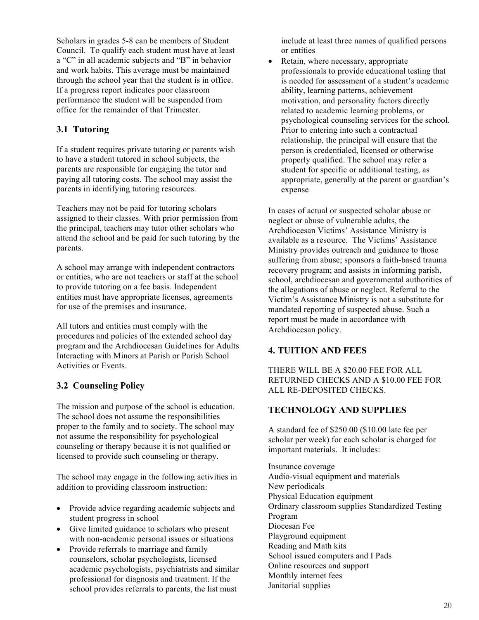Scholars in grades 5-8 can be members of Student Council. To qualify each student must have at least a "C" in all academic subjects and "B" in behavior and work habits. This average must be maintained through the school year that the student is in office. If a progress report indicates poor classroom performance the student will be suspended from office for the remainder of that Trimester.

# **3.1 Tutoring**

If a student requires private tutoring or parents wish to have a student tutored in school subjects, the parents are responsible for engaging the tutor and paying all tutoring costs. The school may assist the parents in identifying tutoring resources.

Teachers may not be paid for tutoring scholars assigned to their classes. With prior permission from the principal, teachers may tutor other scholars who attend the school and be paid for such tutoring by the parents.

A school may arrange with independent contractors or entities, who are not teachers or staff at the school to provide tutoring on a fee basis. Independent entities must have appropriate licenses, agreements for use of the premises and insurance.

All tutors and entities must comply with the procedures and policies of the extended school day program and the Archdiocesan Guidelines for Adults Interacting with Minors at Parish or Parish School Activities or Events.

# **3.2 Counseling Policy**

The mission and purpose of the school is education. The school does not assume the responsibilities proper to the family and to society. The school may not assume the responsibility for psychological counseling or therapy because it is not qualified or licensed to provide such counseling or therapy.

The school may engage in the following activities in addition to providing classroom instruction:

- Provide advice regarding academic subjects and student progress in school
- Give limited guidance to scholars who present with non-academic personal issues or situations
- Provide referrals to marriage and family counselors, scholar psychologists, licensed academic psychologists, psychiatrists and similar professional for diagnosis and treatment. If the school provides referrals to parents, the list must

include at least three names of qualified persons or entities

• Retain, where necessary, appropriate professionals to provide educational testing that is needed for assessment of a student's academic ability, learning patterns, achievement motivation, and personality factors directly related to academic learning problems, or psychological counseling services for the school. Prior to entering into such a contractual relationship, the principal will ensure that the person is credentialed, licensed or otherwise properly qualified. The school may refer a student for specific or additional testing, as appropriate, generally at the parent or guardian's expense

In cases of actual or suspected scholar abuse or neglect or abuse of vulnerable adults, the Archdiocesan Victims' Assistance Ministry is available as a resource. The Victims' Assistance Ministry provides outreach and guidance to those suffering from abuse; sponsors a faith-based trauma recovery program; and assists in informing parish, school, archdiocesan and governmental authorities of the allegations of abuse or neglect. Referral to the Victim's Assistance Ministry is not a substitute for mandated reporting of suspected abuse. Such a report must be made in accordance with Archdiocesan policy.

# **4. TUITION AND FEES**

THERE WILL BE A \$20.00 FEE FOR ALL RETURNED CHECKS AND A \$10.00 FEE FOR ALL RE-DEPOSITED CHECKS.

# **TECHNOLOGY AND SUPPLIES**

A standard fee of \$250.00 (\$10.00 late fee per scholar per week) for each scholar is charged for important materials. It includes:

Insurance coverage Audio-visual equipment and materials New periodicals Physical Education equipment Ordinary classroom supplies Standardized Testing Program Diocesan Fee Playground equipment Reading and Math kits School issued computers and I Pads Online resources and support Monthly internet fees Janitorial supplies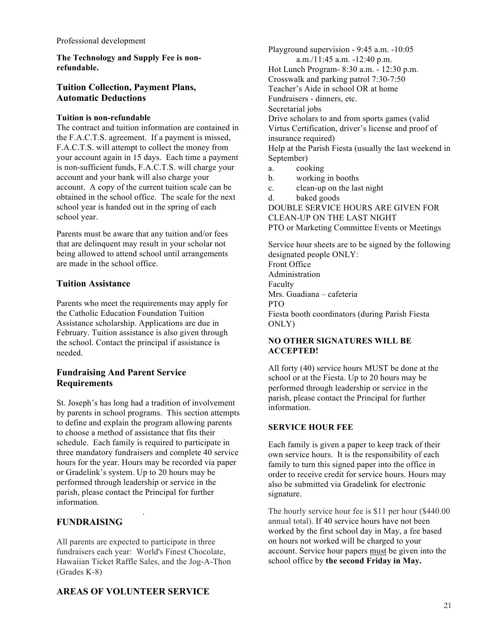**The Technology and Supply Fee is nonrefundable.**

### **Tuition Collection, Payment Plans, Automatic Deductions**

#### **Tuition is non-refundable**

The contract and tuition information are contained in the F.A.C.T.S. agreement. If a payment is missed, F.A.C.T.S. will attempt to collect the money from your account again in 15 days. Each time a payment is non-sufficient funds, F.A.C.T.S. will charge your account and your bank will also charge your account. A copy of the current tuition scale can be obtained in the school office. The scale for the next school year is handed out in the spring of each school year.

Parents must be aware that any tuition and/or fees that are delinquent may result in your scholar not being allowed to attend school until arrangements are made in the school office.

### **Tuition Assistance**

Parents who meet the requirements may apply for the Catholic Education Foundation Tuition Assistance scholarship. Applications are due in February. Tuition assistance is also given through the school. Contact the principal if assistance is needed.

### **Fundraising And Parent Service Requirements**

St. Joseph's has long had a tradition of involvement by parents in school programs. This section attempts to define and explain the program allowing parents to choose a method of assistance that fits their schedule. Each family is required to participate in three mandatory fundraisers and complete 40 service hours for the year. Hours may be recorded via paper or Gradelink's system. Up to 20 hours may be performed through leadership or service in the parish, please contact the Principal for further information.

# **FUNDRAISING**

.

All parents are expected to participate in three fundraisers each year: World's Finest Chocolate, Hawaiian Ticket Raffle Sales, and the Jog-A-Thon (Grades K-8)

Playground supervision - 9:45 a.m. -10:05 a.m./11:45 a.m. -12:40 p.m. Hot Lunch Program- 8:30 a.m. - 12:30 p.m. Crosswalk and parking patrol 7:30-7:50 Teacher's Aide in school OR at home Fundraisers - dinners, etc. Secretarial jobs Drive scholars to and from sports games (valid Virtus Certification, driver's license and proof of insurance required) Help at the Parish Fiesta (usually the last weekend in September) a. cooking

- b. working in booths
- c. clean-up on the last night
- d. baked goods

DOUBLE SERVICE HOURS ARE GIVEN FOR CLEAN-UP ON THE LAST NIGHT PTO or Marketing Committee Events or Meetings

Service hour sheets are to be signed by the following designated people ONLY: Front Office Administration Faculty Mrs. Guadiana – cafeteria PTO Fiesta booth coordinators (during Parish Fiesta ONLY)

#### **NO OTHER SIGNATURES WILL BE ACCEPTED!**

All forty (40) service hours MUST be done at the school or at the Fiesta. Up to 20 hours may be performed through leadership or service in the parish, please contact the Principal for further information.

#### **SERVICE HOUR FEE**

Each family is given a paper to keep track of their own service hours. It is the responsibility of each family to turn this signed paper into the office in order to receive credit for service hours. Hours may also be submitted via Gradelink for electronic signature.

The hourly service hour fee is \$11 per hour (\$440.00 annual total). If 40 service hours have not been worked by the first school day in May, a fee based on hours not worked will be charged to your account. Service hour papers must be given into the school office by **the second Friday in May.**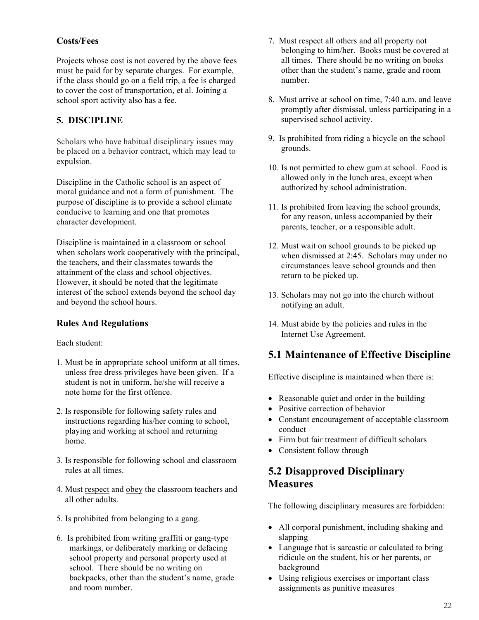# **Costs/Fees**

Projects whose cost is not covered by the above fees must be paid for by separate charges. For example, if the class should go on a field trip, a fee is charged to cover the cost of transportation, et al. Joining a school sport activity also has a fee.

# **5. DISCIPLINE**

Scholars who have habitual disciplinary issues may be placed on a behavior contract, which may lead to expulsion.

Discipline in the Catholic school is an aspect of moral guidance and not a form of punishment. The purpose of discipline is to provide a school climate conducive to learning and one that promotes character development.

Discipline is maintained in a classroom or school when scholars work cooperatively with the principal, the teachers, and their classmates towards the attainment of the class and school objectives. However, it should be noted that the legitimate interest of the school extends beyond the school day and beyond the school hours.

# **Rules And Regulations**

Each student:

- 1. Must be in appropriate school uniform at all times, unless free dress privileges have been given. If a student is not in uniform, he/she will receive a note home for the first offence.
- 2. Is responsible for following safety rules and instructions regarding his/her coming to school, playing and working at school and returning home.
- 3. Is responsible for following school and classroom rules at all times.
- 4. Must respect and obey the classroom teachers and all other adults.
- 5. Is prohibited from belonging to a gang.
- 6. Is prohibited from writing graffiti or gang-type markings, or deliberately marking or defacing school property and personal property used at school. There should be no writing on backpacks, other than the student's name, grade and room number.
- 7. Must respect all others and all property not belonging to him/her. Books must be covered at all times. There should be no writing on books other than the student's name, grade and room number.
- 8. Must arrive at school on time, 7:40 a.m. and leave promptly after dismissal, unless participating in a supervised school activity.
- 9. Is prohibited from riding a bicycle on the school grounds.
- 10. Is not permitted to chew gum at school. Food is allowed only in the lunch area, except when authorized by school administration.
- 11. Is prohibited from leaving the school grounds, for any reason, unless accompanied by their parents, teacher, or a responsible adult.
- 12. Must wait on school grounds to be picked up when dismissed at 2:45. Scholars may under no circumstances leave school grounds and then return to be picked up.
- 13. Scholars may not go into the church without notifying an adult.
- 14. Must abide by the policies and rules in the Internet Use Agreement.

# **5.1 Maintenance of Effective Discipline**

Effective discipline is maintained when there is:

- Reasonable quiet and order in the building
- Positive correction of behavior
- Constant encouragement of acceptable classroom conduct
- Firm but fair treatment of difficult scholars
- Consistent follow through

# **5.2 Disapproved Disciplinary Measures**

The following disciplinary measures are forbidden:

- All corporal punishment, including shaking and slapping
- Language that is sarcastic or calculated to bring ridicule on the student, his or her parents, or background
- Using religious exercises or important class assignments as punitive measures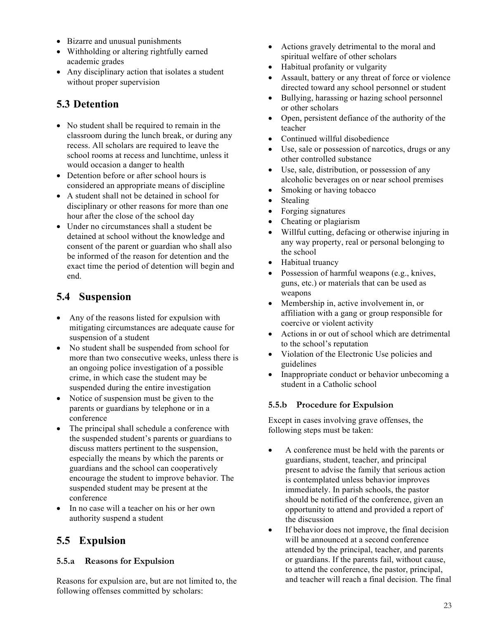- Bizarre and unusual punishments
- Withholding or altering rightfully earned academic grades
- Any disciplinary action that isolates a student without proper supervision

# **5.3 Detention**

- No student shall be required to remain in the classroom during the lunch break, or during any recess. All scholars are required to leave the school rooms at recess and lunchtime, unless it would occasion a danger to health
- Detention before or after school hours is considered an appropriate means of discipline
- A student shall not be detained in school for disciplinary or other reasons for more than one hour after the close of the school day
- Under no circumstances shall a student be detained at school without the knowledge and consent of the parent or guardian who shall also be informed of the reason for detention and the exact time the period of detention will begin and end.

# **5.4 Suspension**

- Any of the reasons listed for expulsion with mitigating circumstances are adequate cause for suspension of a student
- No student shall be suspended from school for more than two consecutive weeks, unless there is an ongoing police investigation of a possible crime, in which case the student may be suspended during the entire investigation
- Notice of suspension must be given to the parents or guardians by telephone or in a conference
- The principal shall schedule a conference with the suspended student's parents or guardians to discuss matters pertinent to the suspension, especially the means by which the parents or guardians and the school can cooperatively encourage the student to improve behavior. The suspended student may be present at the conference
- In no case will a teacher on his or her own authority suspend a student

# **5.5 Expulsion**

# **5.5.a Reasons for Expulsion**

Reasons for expulsion are, but are not limited to, the following offenses committed by scholars:

- Actions gravely detrimental to the moral and spiritual welfare of other scholars
- Habitual profanity or vulgarity
- Assault, battery or any threat of force or violence directed toward any school personnel or student
- Bullying, harassing or hazing school personnel or other scholars
- Open, persistent defiance of the authority of the teacher
- Continued willful disobedience
- Use, sale or possession of narcotics, drugs or any other controlled substance
- Use, sale, distribution, or possession of any alcoholic beverages on or near school premises
- Smoking or having tobacco
- Stealing
- Forging signatures
- Cheating or plagiarism
- Willful cutting, defacing or otherwise injuring in any way property, real or personal belonging to the school
- Habitual truancy
- Possession of harmful weapons (e.g., knives, guns, etc.) or materials that can be used as weapons
- Membership in, active involvement in, or affiliation with a gang or group responsible for coercive or violent activity
- Actions in or out of school which are detrimental to the school's reputation
- Violation of the Electronic Use policies and guidelines
- Inappropriate conduct or behavior unbecoming a student in a Catholic school

# **5.5.b Procedure for Expulsion**

Except in cases involving grave offenses, the following steps must be taken:

- A conference must be held with the parents or guardians, student, teacher, and principal present to advise the family that serious action is contemplated unless behavior improves immediately. In parish schools, the pastor should be notified of the conference, given an opportunity to attend and provided a report of the discussion
- If behavior does not improve, the final decision will be announced at a second conference attended by the principal, teacher, and parents or guardians. If the parents fail, without cause, to attend the conference, the pastor, principal, and teacher will reach a final decision. The final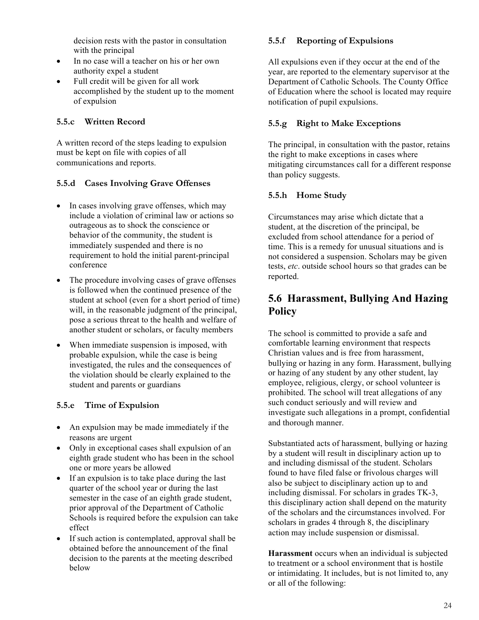decision rests with the pastor in consultation with the principal

- In no case will a teacher on his or her own authority expel a student
- Full credit will be given for all work accomplished by the student up to the moment of expulsion

### **5.5.c Written Record**

A written record of the steps leading to expulsion must be kept on file with copies of all communications and reports.

### **5.5.d Cases Involving Grave Offenses**

- In cases involving grave offenses, which may include a violation of criminal law or actions so outrageous as to shock the conscience or behavior of the community, the student is immediately suspended and there is no requirement to hold the initial parent-principal conference
- The procedure involving cases of grave offenses is followed when the continued presence of the student at school (even for a short period of time) will, in the reasonable judgment of the principal, pose a serious threat to the health and welfare of another student or scholars, or faculty members
- When immediate suspension is imposed, with probable expulsion, while the case is being investigated, the rules and the consequences of the violation should be clearly explained to the student and parents or guardians

# **5.5.e Time of Expulsion**

- An expulsion may be made immediately if the reasons are urgent
- Only in exceptional cases shall expulsion of an eighth grade student who has been in the school one or more years be allowed
- If an expulsion is to take place during the last quarter of the school year or during the last semester in the case of an eighth grade student, prior approval of the Department of Catholic Schools is required before the expulsion can take effect
- If such action is contemplated, approval shall be obtained before the announcement of the final decision to the parents at the meeting described below

# **5.5.f Reporting of Expulsions**

All expulsions even if they occur at the end of the year, are reported to the elementary supervisor at the Department of Catholic Schools. The County Office of Education where the school is located may require notification of pupil expulsions.

# **5.5.g Right to Make Exceptions**

The principal, in consultation with the pastor, retains the right to make exceptions in cases where mitigating circumstances call for a different response than policy suggests.

# **5.5.h Home Study**

Circumstances may arise which dictate that a student, at the discretion of the principal, be excluded from school attendance for a period of time. This is a remedy for unusual situations and is not considered a suspension. Scholars may be given tests, *etc*. outside school hours so that grades can be reported.

# **5.6 Harassment, Bullying And Hazing Policy**

The school is committed to provide a safe and comfortable learning environment that respects Christian values and is free from harassment, bullying or hazing in any form. Harassment, bullying or hazing of any student by any other student, lay employee, religious, clergy, or school volunteer is prohibited. The school will treat allegations of any such conduct seriously and will review and investigate such allegations in a prompt, confidential and thorough manner.

Substantiated acts of harassment, bullying or hazing by a student will result in disciplinary action up to and including dismissal of the student. Scholars found to have filed false or frivolous charges will also be subject to disciplinary action up to and including dismissal. For scholars in grades TK-3, this disciplinary action shall depend on the maturity of the scholars and the circumstances involved. For scholars in grades 4 through 8, the disciplinary action may include suspension or dismissal.

**Harassment** occurs when an individual is subjected to treatment or a school environment that is hostile or intimidating. It includes, but is not limited to, any or all of the following: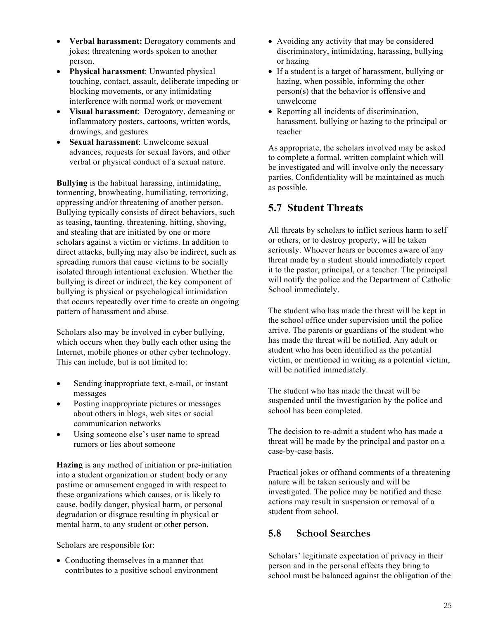- **Verbal harassment:** Derogatory comments and jokes; threatening words spoken to another person.
- **Physical harassment**: Unwanted physical touching, contact, assault, deliberate impeding or blocking movements, or any intimidating interference with normal work or movement
- **Visual harassment**: Derogatory, demeaning or inflammatory posters, cartoons, written words, drawings, and gestures
- **Sexual harassment**: Unwelcome sexual advances, requests for sexual favors, and other verbal or physical conduct of a sexual nature.

**Bullying** is the habitual harassing, intimidating, tormenting, browbeating, humiliating, terrorizing, oppressing and/or threatening of another person. Bullying typically consists of direct behaviors, such as teasing, taunting, threatening, hitting, shoving, and stealing that are initiated by one or more scholars against a victim or victims. In addition to direct attacks, bullying may also be indirect, such as spreading rumors that cause victims to be socially isolated through intentional exclusion. Whether the bullying is direct or indirect, the key component of bullying is physical or psychological intimidation that occurs repeatedly over time to create an ongoing pattern of harassment and abuse.

Scholars also may be involved in cyber bullying, which occurs when they bully each other using the Internet, mobile phones or other cyber technology. This can include, but is not limited to:

- Sending inappropriate text, e-mail, or instant messages
- Posting inappropriate pictures or messages about others in blogs, web sites or social communication networks
- Using someone else's user name to spread rumors or lies about someone

**Hazing** is any method of initiation or pre-initiation into a student organization or student body or any pastime or amusement engaged in with respect to these organizations which causes, or is likely to cause, bodily danger, physical harm, or personal degradation or disgrace resulting in physical or mental harm, to any student or other person.

Scholars are responsible for:

• Conducting themselves in a manner that contributes to a positive school environment

- Avoiding any activity that may be considered discriminatory, intimidating, harassing, bullying or hazing
- If a student is a target of harassment, bullying or hazing, when possible, informing the other person(s) that the behavior is offensive and unwelcome
- Reporting all incidents of discrimination, harassment, bullying or hazing to the principal or teacher

As appropriate, the scholars involved may be asked to complete a formal, written complaint which will be investigated and will involve only the necessary parties. Confidentiality will be maintained as much as possible.

# **5.7 Student Threats**

All threats by scholars to inflict serious harm to self or others, or to destroy property, will be taken seriously. Whoever hears or becomes aware of any threat made by a student should immediately report it to the pastor, principal, or a teacher. The principal will notify the police and the Department of Catholic School immediately.

The student who has made the threat will be kept in the school office under supervision until the police arrive. The parents or guardians of the student who has made the threat will be notified. Any adult or student who has been identified as the potential victim, or mentioned in writing as a potential victim, will be notified immediately.

The student who has made the threat will be suspended until the investigation by the police and school has been completed.

The decision to re-admit a student who has made a threat will be made by the principal and pastor on a case-by-case basis.

Practical jokes or offhand comments of a threatening nature will be taken seriously and will be investigated. The police may be notified and these actions may result in suspension or removal of a student from school.

# **5.8 School Searches**

Scholars' legitimate expectation of privacy in their person and in the personal effects they bring to school must be balanced against the obligation of the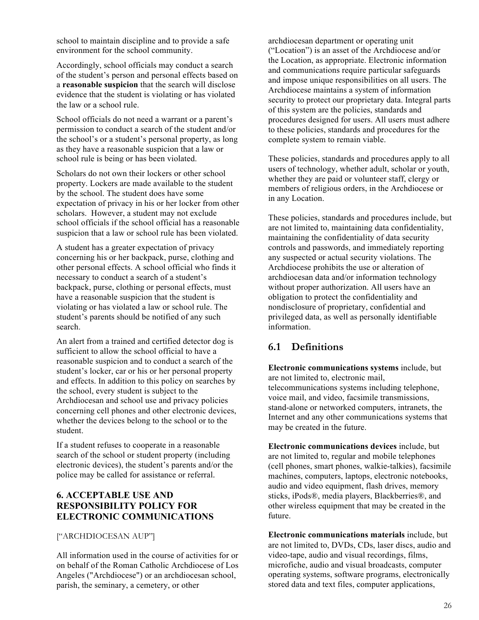school to maintain discipline and to provide a safe environment for the school community.

Accordingly, school officials may conduct a search of the student's person and personal effects based on a **reasonable suspicion** that the search will disclose evidence that the student is violating or has violated the law or a school rule.

School officials do not need a warrant or a parent's permission to conduct a search of the student and/or the school's or a student's personal property, as long as they have a reasonable suspicion that a law or school rule is being or has been violated.

Scholars do not own their lockers or other school property. Lockers are made available to the student by the school. The student does have some expectation of privacy in his or her locker from other scholars. However, a student may not exclude school officials if the school official has a reasonable suspicion that a law or school rule has been violated.

A student has a greater expectation of privacy concerning his or her backpack, purse, clothing and other personal effects. A school official who finds it necessary to conduct a search of a student's backpack, purse, clothing or personal effects, must have a reasonable suspicion that the student is violating or has violated a law or school rule. The student's parents should be notified of any such search.

An alert from a trained and certified detector dog is sufficient to allow the school official to have a reasonable suspicion and to conduct a search of the student's locker, car or his or her personal property and effects. In addition to this policy on searches by the school, every student is subject to the Archdiocesan and school use and privacy policies concerning cell phones and other electronic devices, whether the devices belong to the school or to the student.

If a student refuses to cooperate in a reasonable search of the school or student property (including electronic devices), the student's parents and/or the police may be called for assistance or referral.

# **6. ACCEPTABLE USE AND RESPONSIBILITY POLICY FOR ELECTRONIC COMMUNICATIONS**

### ["ARCHDIOCESAN AUP"]

All information used in the course of activities for or on behalf of the Roman Catholic Archdiocese of Los Angeles ("Archdiocese") or an archdiocesan school, parish, the seminary, a cemetery, or other

archdiocesan department or operating unit ("Location") is an asset of the Archdiocese and/or the Location, as appropriate. Electronic information and communications require particular safeguards and impose unique responsibilities on all users. The Archdiocese maintains a system of information security to protect our proprietary data. Integral parts of this system are the policies, standards and procedures designed for users. All users must adhere to these policies, standards and procedures for the complete system to remain viable.

These policies, standards and procedures apply to all users of technology, whether adult, scholar or youth, whether they are paid or volunteer staff, clergy or members of religious orders, in the Archdiocese or in any Location.

These policies, standards and procedures include, but are not limited to, maintaining data confidentiality, maintaining the confidentiality of data security controls and passwords, and immediately reporting any suspected or actual security violations. The Archdiocese prohibits the use or alteration of archdiocesan data and/or information technology without proper authorization. All users have an obligation to protect the confidentiality and nondisclosure of proprietary, confidential and privileged data, as well as personally identifiable information.

# **6.1 Definitions**

**Electronic communications systems** include, but are not limited to, electronic mail, telecommunications systems including telephone, voice mail, and video, facsimile transmissions, stand-alone or networked computers, intranets, the Internet and any other communications systems that may be created in the future.

**Electronic communications devices** include, but are not limited to, regular and mobile telephones (cell phones, smart phones, walkie-talkies), facsimile machines, computers, laptops, electronic notebooks, audio and video equipment, flash drives, memory sticks, iPods®, media players, Blackberries®, and other wireless equipment that may be created in the future.

**Electronic communications materials** include, but are not limited to, DVDs, CDs, laser discs, audio and video-tape, audio and visual recordings, films, microfiche, audio and visual broadcasts, computer operating systems, software programs, electronically stored data and text files, computer applications,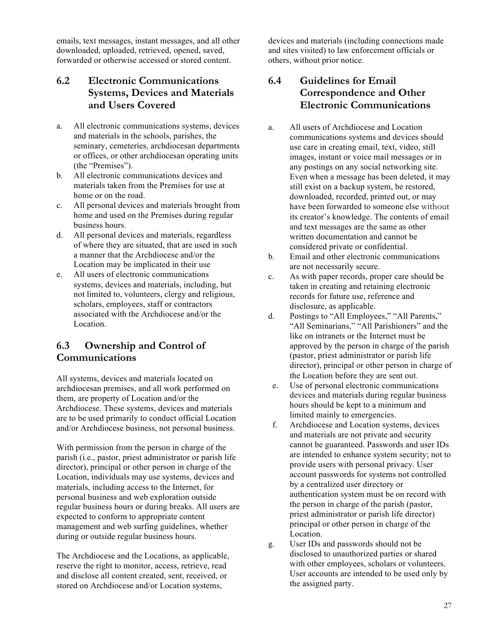emails, text messages, instant messages, and all other downloaded, uploaded, retrieved, opened, saved, forwarded or otherwise accessed or stored content.

# **6.2 Electronic Communications Systems, Devices and Materials and Users Covered**

- a. All electronic communications systems, devices and materials in the schools, parishes, the seminary, cemeteries, archdiocesan departments or offices, or other archdiocesan operating units (the "Premises").
- b. All electronic communications devices and materials taken from the Premises for use at home or on the road.
- c. All personal devices and materials brought from home and used on the Premises during regular business hours.
- d. All personal devices and materials, regardless of where they are situated, that are used in such a manner that the Archdiocese and/or the Location may be implicated in their use
- e. All users of electronic communications systems, devices and materials, including, but not limited to, volunteers, clergy and religious, scholars, employees, staff or contractors associated with the Archdiocese and/or the Location.

# **6.3 Ownership and Control of Communications**

All systems, devices and materials located on archdiocesan premises, and all work performed on them, are property of Location and/or the Archdiocese. These systems, devices and materials are to be used primarily to conduct official Location and/or Archdiocese business, not personal business.

With permission from the person in charge of the parish (i.e., pastor, priest administrator or parish life director), principal or other person in charge of the Location, individuals may use systems, devices and materials, including access to the Internet, for personal business and web exploration outside regular business hours or during breaks. All users are expected to conform to appropriate content management and web surfing guidelines, whether during or outside regular business hours.

The Archdiocese and the Locations, as applicable, reserve the right to monitor, access, retrieve, read and disclose all content created, sent, received, or stored on Archdiocese and/or Location systems,

devices and materials (including connections made and sites visited) to law enforcement officials or others, without prior notice.

# **6.4 Guidelines for Email Correspondence and Other Electronic Communications**

- a. All users of Archdiocese and Location communications systems and devices should use care in creating email, text, video, still images, instant or voice mail messages or in any postings on any social networking site. Even when a message has been deleted, it may still exist on a backup system, be restored, downloaded, recorded, printed out, or may have been forwarded to someone else without its creator's knowledge. The contents of email and text messages are the same as other written documentation and cannot be considered private or confidential.
- b. Email and other electronic communications are not necessarily secure.
- c. As with paper records, proper care should be taken in creating and retaining electronic records for future use, reference and disclosure, as applicable.
- d. Postings to "All Employees," "All Parents," "All Seminarians," "All Parishioners" and the like on intranets or the Internet must be approved by the person in charge of the parish (pastor, priest administrator or parish life director), principal or other person in charge of the Location before they are sent out.
- e. Use of personal electronic communications devices and materials during regular business hours should be kept to a minimum and limited mainly to emergencies.
- f. Archdiocese and Location systems, devices and materials are not private and security cannot be guaranteed. Passwords and user IDs are intended to enhance system security; not to provide users with personal privacy. User account passwords for systems not controlled by a centralized user directory or authentication system must be on record with the person in charge of the parish (pastor, priest administrator or parish life director) principal or other person in charge of the Location.
- g. User IDs and passwords should not be disclosed to unauthorized parties or shared with other employees, scholars or volunteers. User accounts are intended to be used only by the assigned party.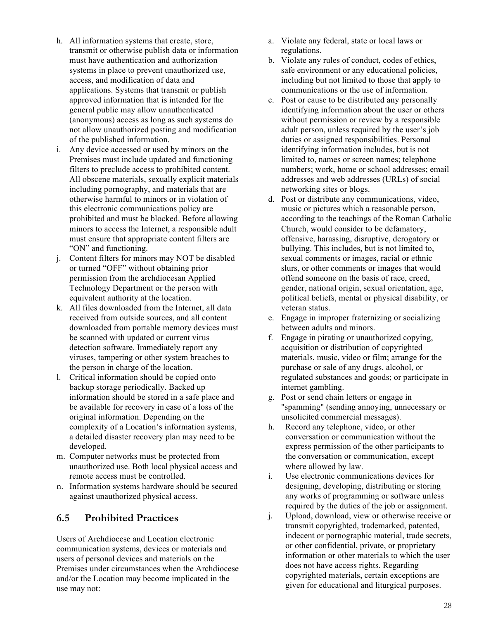- h. All information systems that create, store, transmit or otherwise publish data or information must have authentication and authorization systems in place to prevent unauthorized use, access, and modification of data and applications. Systems that transmit or publish approved information that is intended for the general public may allow unauthenticated (anonymous) access as long as such systems do not allow unauthorized posting and modification of the published information.
- i. Any device accessed or used by minors on the Premises must include updated and functioning filters to preclude access to prohibited content. All obscene materials, sexually explicit materials including pornography, and materials that are otherwise harmful to minors or in violation of this electronic communications policy are prohibited and must be blocked. Before allowing minors to access the Internet, a responsible adult must ensure that appropriate content filters are "ON" and functioning.
- j. Content filters for minors may NOT be disabled or turned "OFF" without obtaining prior permission from the archdiocesan Applied Technology Department or the person with equivalent authority at the location.
- k. All files downloaded from the Internet, all data received from outside sources, and all content downloaded from portable memory devices must be scanned with updated or current virus detection software. Immediately report any viruses, tampering or other system breaches to the person in charge of the location.
- l. Critical information should be copied onto backup storage periodically. Backed up information should be stored in a safe place and be available for recovery in case of a loss of the original information. Depending on the complexity of a Location's information systems, a detailed disaster recovery plan may need to be developed.
- m. Computer networks must be protected from unauthorized use. Both local physical access and remote access must be controlled.
- n. Information systems hardware should be secured against unauthorized physical access.

# **6.5 Prohibited Practices**

Users of Archdiocese and Location electronic communication systems, devices or materials and users of personal devices and materials on the Premises under circumstances when the Archdiocese and/or the Location may become implicated in the use may not:

- a. Violate any federal, state or local laws or regulations.
- b. Violate any rules of conduct, codes of ethics, safe environment or any educational policies, including but not limited to those that apply to communications or the use of information.
- c. Post or cause to be distributed any personally identifying information about the user or others without permission or review by a responsible adult person, unless required by the user's job duties or assigned responsibilities. Personal identifying information includes, but is not limited to, names or screen names; telephone numbers; work, home or school addresses; email addresses and web addresses (URLs) of social networking sites or blogs.
- d. Post or distribute any communications, video, music or pictures which a reasonable person, according to the teachings of the Roman Catholic Church, would consider to be defamatory, offensive, harassing, disruptive, derogatory or bullying. This includes, but is not limited to, sexual comments or images, racial or ethnic slurs, or other comments or images that would offend someone on the basis of race, creed, gender, national origin, sexual orientation, age, political beliefs, mental or physical disability, or veteran status.
- e. Engage in improper fraternizing or socializing between adults and minors.
- f. Engage in pirating or unauthorized copying, acquisition or distribution of copyrighted materials, music, video or film; arrange for the purchase or sale of any drugs, alcohol, or regulated substances and goods; or participate in internet gambling.
- g. Post or send chain letters or engage in "spamming" (sending annoying, unnecessary or unsolicited commercial messages).
- h. Record any telephone, video, or other conversation or communication without the express permission of the other participants to the conversation or communication, except where allowed by law.
- i. Use electronic communications devices for designing, developing, distributing or storing any works of programming or software unless required by the duties of the job or assignment.
- j. Upload, download, view or otherwise receive or transmit copyrighted, trademarked, patented, indecent or pornographic material, trade secrets, or other confidential, private, or proprietary information or other materials to which the user does not have access rights. Regarding copyrighted materials, certain exceptions are given for educational and liturgical purposes.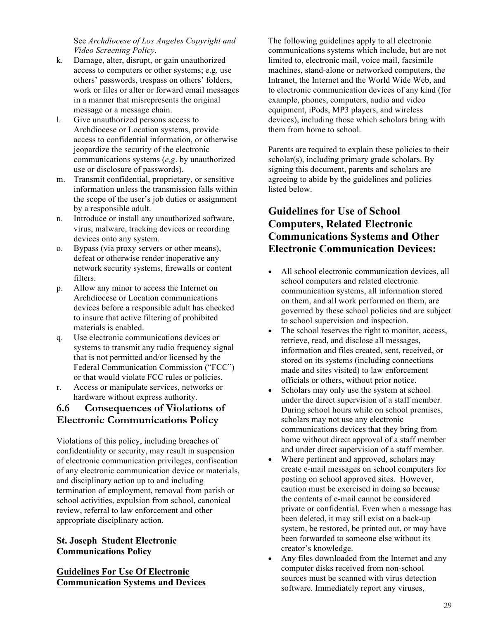See *Archdiocese of Los Angeles Copyright and Video Screening Policy*.

- k. Damage, alter, disrupt, or gain unauthorized access to computers or other systems; e.g. use others' passwords, trespass on others' folders, work or files or alter or forward email messages in a manner that misrepresents the original message or a message chain.
- l. Give unauthorized persons access to Archdiocese or Location systems, provide access to confidential information, or otherwise jeopardize the security of the electronic communications systems (*e.g*. by unauthorized use or disclosure of passwords).
- m. Transmit confidential, proprietary, or sensitive information unless the transmission falls within the scope of the user's job duties or assignment by a responsible adult.
- n. Introduce or install any unauthorized software, virus, malware, tracking devices or recording devices onto any system.
- o. Bypass (via proxy servers or other means), defeat or otherwise render inoperative any network security systems, firewalls or content filters.
- p. Allow any minor to access the Internet on Archdiocese or Location communications devices before a responsible adult has checked to insure that active filtering of prohibited materials is enabled.
- q. Use electronic communications devices or systems to transmit any radio frequency signal that is not permitted and/or licensed by the Federal Communication Commission ("FCC") or that would violate FCC rules or policies.
- r. Access or manipulate services, networks or hardware without express authority.

# **6.6 Consequences of Violations of Electronic Communications Policy**

Violations of this policy, including breaches of confidentiality or security, may result in suspension of electronic communication privileges, confiscation of any electronic communication device or materials, and disciplinary action up to and including termination of employment, removal from parish or school activities, expulsion from school, canonical review, referral to law enforcement and other appropriate disciplinary action.

# **St. Joseph Student Electronic Communications Policy**

**Guidelines For Use Of Electronic Communication Systems and Devices**  The following guidelines apply to all electronic communications systems which include, but are not limited to, electronic mail, voice mail, facsimile machines, stand-alone or networked computers, the Intranet, the Internet and the World Wide Web, and to electronic communication devices of any kind (for example, phones, computers, audio and video equipment, iPods, MP3 players, and wireless devices), including those which scholars bring with them from home to school.

Parents are required to explain these policies to their scholar(s), including primary grade scholars. By signing this document, parents and scholars are agreeing to abide by the guidelines and policies listed below.

# **Guidelines for Use of School Computers, Related Electronic Communications Systems and Other Electronic Communication Devices:**

- All school electronic communication devices, all school computers and related electronic communication systems, all information stored on them, and all work performed on them, are governed by these school policies and are subject to school supervision and inspection.
- The school reserves the right to monitor, access, retrieve, read, and disclose all messages, information and files created, sent, received, or stored on its systems (including connections made and sites visited) to law enforcement officials or others, without prior notice.
- Scholars may only use the system at school under the direct supervision of a staff member. During school hours while on school premises, scholars may not use any electronic communications devices that they bring from home without direct approval of a staff member and under direct supervision of a staff member.
- Where pertinent and approved, scholars may create e-mail messages on school computers for posting on school approved sites. However, caution must be exercised in doing so because the contents of e-mail cannot be considered private or confidential. Even when a message has been deleted, it may still exist on a back-up system, be restored, be printed out, or may have been forwarded to someone else without its creator's knowledge.
- Any files downloaded from the Internet and any computer disks received from non-school sources must be scanned with virus detection software. Immediately report any viruses,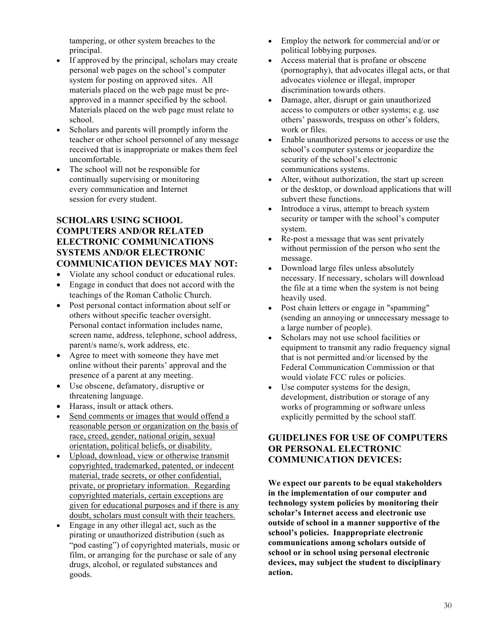tampering, or other system breaches to the principal.

- If approved by the principal, scholars may create personal web pages on the school's computer system for posting on approved sites. All materials placed on the web page must be preapproved in a manner specified by the school. Materials placed on the web page must relate to school.
- Scholars and parents will promptly inform the teacher or other school personnel of any message received that is inappropriate or makes them feel uncomfortable.
- The school will not be responsible for continually supervising or monitoring every communication and Internet session for every student.

### **SCHOLARS USING SCHOOL COMPUTERS AND/OR RELATED ELECTRONIC COMMUNICATIONS SYSTEMS AND/OR ELECTRONIC COMMUNICATION DEVICES MAY NOT:**

- Violate any school conduct or educational rules.
- Engage in conduct that does not accord with the teachings of the Roman Catholic Church.
- Post personal contact information about self or others without specific teacher oversight. Personal contact information includes name, screen name, address, telephone, school address, parent/s name/s, work address, etc.
- Agree to meet with someone they have met online without their parents' approval and the presence of a parent at any meeting.
- Use obscene, defamatory, disruptive or threatening language.
- Harass, insult or attack others.
- Send comments or images that would offend a reasonable person or organization on the basis of race, creed, gender, national origin, sexual orientation, political beliefs, or disability.
- Upload, download, view or otherwise transmit copyrighted, trademarked, patented, or indecent material, trade secrets, or other confidential, private, or proprietary information. Regarding copyrighted materials, certain exceptions are given for educational purposes and if there is any doubt, scholars must consult with their teachers.
- Engage in any other illegal act, such as the pirating or unauthorized distribution (such as "pod casting") of copyrighted materials, music or film, or arranging for the purchase or sale of any drugs, alcohol, or regulated substances and goods.
- Employ the network for commercial and/or or political lobbying purposes.
- Access material that is profane or obscene (pornography), that advocates illegal acts, or that advocates violence or illegal, improper discrimination towards others.
- Damage, alter, disrupt or gain unauthorized access to computers or other systems; e.g. use others' passwords, trespass on other's folders, work or files.
- Enable unauthorized persons to access or use the school's computer systems or jeopardize the security of the school's electronic communications systems.
- Alter, without authorization, the start up screen or the desktop, or download applications that will subvert these functions.
- Introduce a virus, attempt to breach system security or tamper with the school's computer system.
- Re-post a message that was sent privately without permission of the person who sent the message.
- Download large files unless absolutely necessary. If necessary, scholars will download the file at a time when the system is not being heavily used.
- Post chain letters or engage in "spamming" (sending an annoying or unnecessary message to a large number of people).
- Scholars may not use school facilities or equipment to transmit any radio frequency signal that is not permitted and/or licensed by the Federal Communication Commission or that would violate FCC rules or policies.
- Use computer systems for the design, development, distribution or storage of any works of programming or software unless explicitly permitted by the school staff.

# **GUIDELINES FOR USE OF COMPUTERS OR PERSONAL ELECTRONIC COMMUNICATION DEVICES:**

**We expect our parents to be equal stakeholders in the implementation of our computer and technology system policies by monitoring their scholar's Internet access and electronic use outside of school in a manner supportive of the school's policies. Inappropriate electronic communications among scholars outside of school or in school using personal electronic devices, may subject the student to disciplinary action.**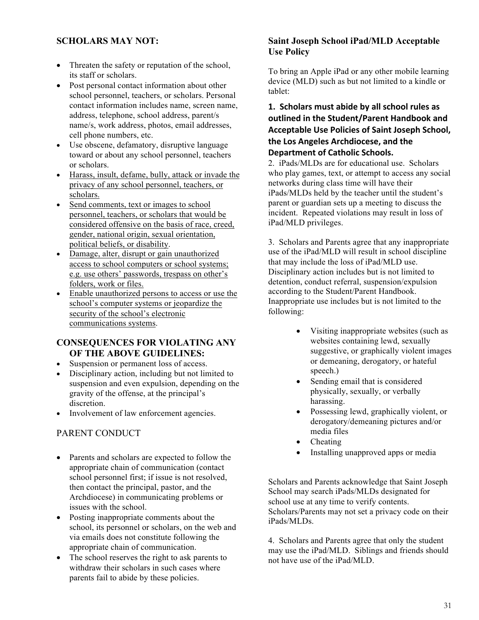# **SCHOLARS MAY NOT:**

- Threaten the safety or reputation of the school, its staff or scholars.
- Post personal contact information about other school personnel, teachers, or scholars. Personal contact information includes name, screen name, address, telephone, school address, parent/s name/s, work address, photos, email addresses, cell phone numbers, etc.
- Use obscene, defamatory, disruptive language toward or about any school personnel, teachers or scholars.
- Harass, insult, defame, bully, attack or invade the privacy of any school personnel, teachers, or scholars.
- Send comments, text or images to school personnel, teachers, or scholars that would be considered offensive on the basis of race, creed, gender, national origin, sexual orientation, political beliefs, or disability.
- Damage, alter, disrupt or gain unauthorized access to school computers or school systems; e.g. use others' passwords, trespass on other's folders, work or files.
- Enable unauthorized persons to access or use the school's computer systems or jeopardize the security of the school's electronic communications systems.

### **CONSEQUENCES FOR VIOLATING ANY OF THE ABOVE GUIDELINES:**

- Suspension or permanent loss of access.
- Disciplinary action, including but not limited to suspension and even expulsion, depending on the gravity of the offense, at the principal's discretion.
- Involvement of law enforcement agencies.

# PARENT CONDUCT

- Parents and scholars are expected to follow the appropriate chain of communication (contact school personnel first; if issue is not resolved, then contact the principal, pastor, and the Archdiocese) in communicating problems or issues with the school.
- Posting inappropriate comments about the school, its personnel or scholars, on the web and via emails does not constitute following the appropriate chain of communication.
- The school reserves the right to ask parents to withdraw their scholars in such cases where parents fail to abide by these policies.

### **Saint Joseph School iPad/MLD Acceptable Use Policy**

To bring an Apple iPad or any other mobile learning device (MLD) such as but not limited to a kindle or tablet:

# 1. Scholars must abide by all school rules as outlined in the Student/Parent Handbook and **Acceptable Use Policies of Saint Joseph School,** the Los Angeles Archdiocese, and the **Department of Catholic Schools.**

2. iPads/MLDs are for educational use. Scholars who play games, text, or attempt to access any social networks during class time will have their iPads/MLDs held by the teacher until the student's parent or guardian sets up a meeting to discuss the incident. Repeated violations may result in loss of iPad/MLD privileges.

3. Scholars and Parents agree that any inappropriate use of the iPad/MLD will result in school discipline that may include the loss of iPad/MLD use. Disciplinary action includes but is not limited to detention, conduct referral, suspension/expulsion according to the Student/Parent Handbook. Inappropriate use includes but is not limited to the following:

- Visiting inappropriate websites (such as websites containing lewd, sexually suggestive, or graphically violent images or demeaning, derogatory, or hateful speech.)
- Sending email that is considered physically, sexually, or verbally harassing.
- Possessing lewd, graphically violent, or derogatory/demeaning pictures and/or media files
- Cheating
- Installing unapproved apps or media

Scholars and Parents acknowledge that Saint Joseph School may search iPads/MLDs designated for school use at any time to verify contents. Scholars/Parents may not set a privacy code on their iPads/MLDs.

4. Scholars and Parents agree that only the student may use the iPad/MLD. Siblings and friends should not have use of the iPad/MLD.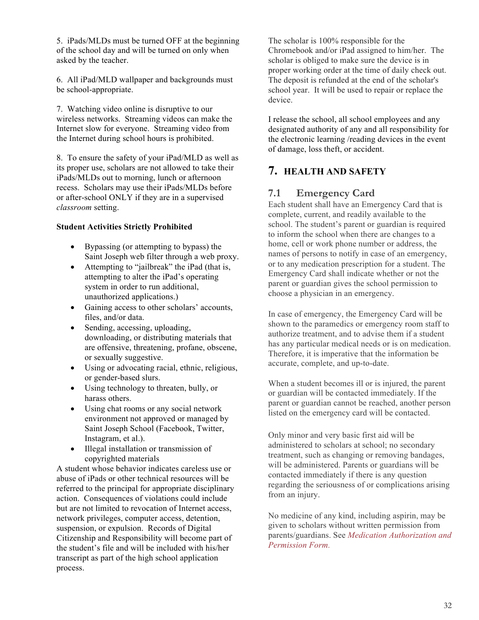5. iPads/MLDs must be turned OFF at the beginning of the school day and will be turned on only when asked by the teacher.

6. All iPad/MLD wallpaper and backgrounds must be school-appropriate.

7. Watching video online is disruptive to our wireless networks. Streaming videos can make the Internet slow for everyone. Streaming video from the Internet during school hours is prohibited.

8. To ensure the safety of your iPad/MLD as well as its proper use, scholars are not allowed to take their iPads/MLDs out to morning, lunch or afternoon recess. Scholars may use their iPads/MLDs before or after-school ONLY if they are in a supervised *classroom* setting.

### **Student Activities Strictly Prohibited**

- Bypassing (or attempting to bypass) the Saint Joseph web filter through a web proxy.
- Attempting to "jailbreak" the iPad (that is, attempting to alter the iPad's operating system in order to run additional, unauthorized applications.)
- Gaining access to other scholars' accounts, files, and/or data.
- Sending, accessing, uploading, downloading, or distributing materials that are offensive, threatening, profane, obscene, or sexually suggestive.
- Using or advocating racial, ethnic, religious, or gender-based slurs.
- Using technology to threaten, bully, or harass others.
- Using chat rooms or any social network environment not approved or managed by Saint Joseph School (Facebook, Twitter, Instagram, et al.).
- Illegal installation or transmission of copyrighted materials

A student whose behavior indicates careless use or abuse of iPads or other technical resources will be referred to the principal for appropriate disciplinary action. Consequences of violations could include but are not limited to revocation of Internet access, network privileges, computer access, detention, suspension, or expulsion. Records of Digital Citizenship and Responsibility will become part of the student's file and will be included with his/her transcript as part of the high school application process.

The scholar is 100% responsible for the Chromebook and/or iPad assigned to him/her. The scholar is obliged to make sure the device is in proper working order at the time of daily check out. The deposit is refunded at the end of the scholar's school year. It will be used to repair or replace the device.

I release the school, all school employees and any designated authority of any and all responsibility for the electronic learning /reading devices in the event of damage, loss theft, or accident.

# **7. HEALTH AND SAFETY**

# **7.1 Emergency Card**

Each student shall have an Emergency Card that is complete, current, and readily available to the school. The student's parent or guardian is required to inform the school when there are changes to a home, cell or work phone number or address, the names of persons to notify in case of an emergency, or to any medication prescription for a student. The Emergency Card shall indicate whether or not the parent or guardian gives the school permission to choose a physician in an emergency.

In case of emergency, the Emergency Card will be shown to the paramedics or emergency room staff to authorize treatment, and to advise them if a student has any particular medical needs or is on medication. Therefore, it is imperative that the information be accurate, complete, and up-to-date.

When a student becomes ill or is injured, the parent or guardian will be contacted immediately. If the parent or guardian cannot be reached, another person listed on the emergency card will be contacted.

Only minor and very basic first aid will be administered to scholars at school; no secondary treatment, such as changing or removing bandages, will be administered. Parents or guardians will be contacted immediately if there is any question regarding the seriousness of or complications arising from an injury.

No medicine of any kind, including aspirin, may be given to scholars without written permission from parents/guardians. See *Medication Authorization and Permission Form.*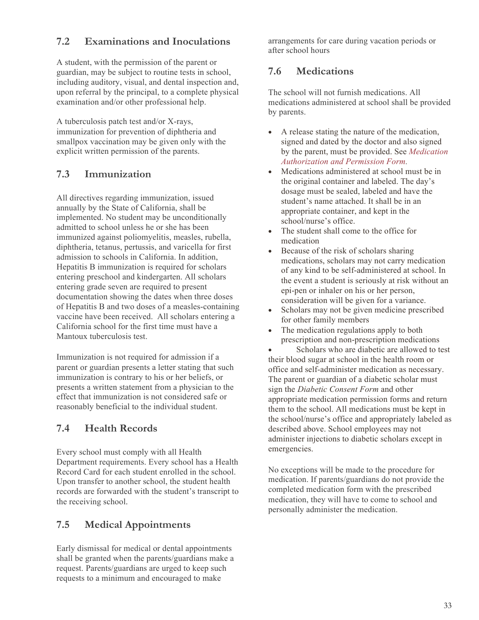# **7.2 Examinations and Inoculations**

A student, with the permission of the parent or guardian, may be subject to routine tests in school, including auditory, visual, and dental inspection and, upon referral by the principal, to a complete physical examination and/or other professional help.

A tuberculosis patch test and/or X-rays, immunization for prevention of diphtheria and smallpox vaccination may be given only with the explicit written permission of the parents.

# **7.3 Immunization**

All directives regarding immunization, issued annually by the State of California, shall be implemented. No student may be unconditionally admitted to school unless he or she has been immunized against poliomyelitis, measles, rubella, diphtheria, tetanus, pertussis, and varicella for first admission to schools in California. In addition, Hepatitis B immunization is required for scholars entering preschool and kindergarten. All scholars entering grade seven are required to present documentation showing the dates when three doses of Hepatitis B and two doses of a measles-containing vaccine have been received. All scholars entering a California school for the first time must have a Mantoux tuberculosis test.

Immunization is not required for admission if a parent or guardian presents a letter stating that such immunization is contrary to his or her beliefs, or presents a written statement from a physician to the effect that immunization is not considered safe or reasonably beneficial to the individual student.

# **7.4 Health Records**

Every school must comply with all Health Department requirements. Every school has a Health Record Card for each student enrolled in the school. Upon transfer to another school, the student health records are forwarded with the student's transcript to the receiving school.

# **7.5 Medical Appointments**

Early dismissal for medical or dental appointments shall be granted when the parents/guardians make a request. Parents/guardians are urged to keep such requests to a minimum and encouraged to make

arrangements for care during vacation periods or after school hours

# **7.6 Medications**

The school will not furnish medications. All medications administered at school shall be provided by parents.

- A release stating the nature of the medication, signed and dated by the doctor and also signed by the parent, must be provided. See *Medication Authorization and Permission Form.*
- Medications administered at school must be in the original container and labeled. The day's dosage must be sealed, labeled and have the student's name attached. It shall be in an appropriate container, and kept in the school/nurse's office.
- The student shall come to the office for medication
- Because of the risk of scholars sharing medications, scholars may not carry medication of any kind to be self-administered at school. In the event a student is seriously at risk without an epi-pen or inhaler on his or her person, consideration will be given for a variance.
- Scholars may not be given medicine prescribed for other family members
- The medication regulations apply to both prescription and non-prescription medications

• Scholars who are diabetic are allowed to test their blood sugar at school in the health room or office and self-administer medication as necessary. The parent or guardian of a diabetic scholar must sign the *Diabetic Consent Form* and other appropriate medication permission forms and return them to the school. All medications must be kept in the school/nurse's office and appropriately labeled as described above. School employees may not administer injections to diabetic scholars except in emergencies.

No exceptions will be made to the procedure for medication. If parents/guardians do not provide the completed medication form with the prescribed medication, they will have to come to school and personally administer the medication.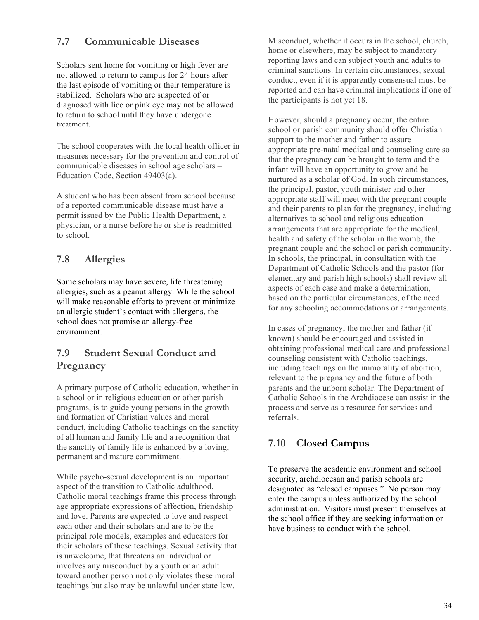# **7.7 Communicable Diseases**

Scholars sent home for vomiting or high fever are not allowed to return to campus for 24 hours after the last episode of vomiting or their temperature is stabilized. Scholars who are suspected of or diagnosed with lice or pink eye may not be allowed to return to school until they have undergone treatment.

The school cooperates with the local health officer in measures necessary for the prevention and control of communicable diseases in school age scholars – Education Code, Section 49403(a).

A student who has been absent from school because of a reported communicable disease must have a permit issued by the Public Health Department, a physician, or a nurse before he or she is readmitted to school.

# **7.8 Allergies**

Some scholars may have severe, life threatening allergies, such as a peanut allergy. While the school will make reasonable efforts to prevent or minimize an allergic student's contact with allergens, the school does not promise an allergy-free environment.

# **7.9 Student Sexual Conduct and Pregnancy**

A primary purpose of Catholic education, whether in a school or in religious education or other parish programs, is to guide young persons in the growth and formation of Christian values and moral conduct, including Catholic teachings on the sanctity of all human and family life and a recognition that the sanctity of family life is enhanced by a loving, permanent and mature commitment.

While psycho-sexual development is an important aspect of the transition to Catholic adulthood, Catholic moral teachings frame this process through age appropriate expressions of affection, friendship and love. Parents are expected to love and respect each other and their scholars and are to be the principal role models, examples and educators for their scholars of these teachings. Sexual activity that is unwelcome, that threatens an individual or involves any misconduct by a youth or an adult toward another person not only violates these moral teachings but also may be unlawful under state law.

Misconduct, whether it occurs in the school, church, home or elsewhere, may be subject to mandatory reporting laws and can subject youth and adults to criminal sanctions. In certain circumstances, sexual conduct, even if it is apparently consensual must be reported and can have criminal implications if one of the participants is not yet 18.

However, should a pregnancy occur, the entire school or parish community should offer Christian support to the mother and father to assure appropriate pre-natal medical and counseling care so that the pregnancy can be brought to term and the infant will have an opportunity to grow and be nurtured as a scholar of God. In such circumstances, the principal, pastor, youth minister and other appropriate staff will meet with the pregnant couple and their parents to plan for the pregnancy, including alternatives to school and religious education arrangements that are appropriate for the medical, health and safety of the scholar in the womb, the pregnant couple and the school or parish community. In schools, the principal, in consultation with the Department of Catholic Schools and the pastor (for elementary and parish high schools) shall review all aspects of each case and make a determination, based on the particular circumstances, of the need for any schooling accommodations or arrangements.

In cases of pregnancy, the mother and father (if known) should be encouraged and assisted in obtaining professional medical care and professional counseling consistent with Catholic teachings, including teachings on the immorality of abortion, relevant to the pregnancy and the future of both parents and the unborn scholar. The Department of Catholic Schools in the Archdiocese can assist in the process and serve as a resource for services and referrals.

# **7.10 Closed Campus**

To preserve the academic environment and school security, archdiocesan and parish schools are designated as "closed campuses." No person may enter the campus unless authorized by the school administration. Visitors must present themselves at the school office if they are seeking information or have business to conduct with the school.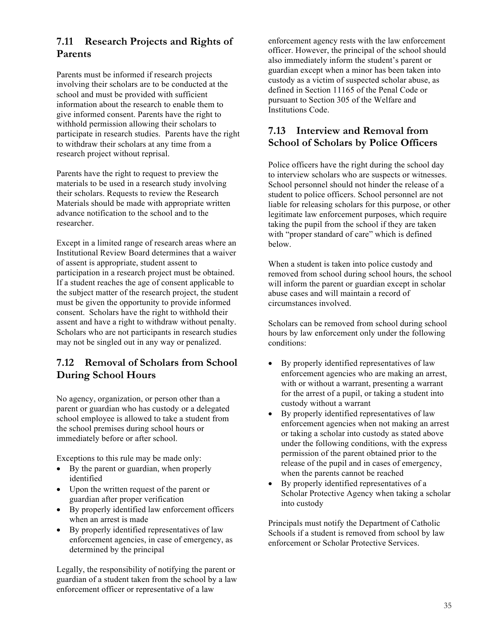# **7.11 Research Projects and Rights of Parents**

Parents must be informed if research projects involving their scholars are to be conducted at the school and must be provided with sufficient information about the research to enable them to give informed consent. Parents have the right to withhold permission allowing their scholars to participate in research studies. Parents have the right to withdraw their scholars at any time from a research project without reprisal.

Parents have the right to request to preview the materials to be used in a research study involving their scholars. Requests to review the Research Materials should be made with appropriate written advance notification to the school and to the researcher.

Except in a limited range of research areas where an Institutional Review Board determines that a waiver of assent is appropriate, student assent to participation in a research project must be obtained. If a student reaches the age of consent applicable to the subject matter of the research project, the student must be given the opportunity to provide informed consent. Scholars have the right to withhold their assent and have a right to withdraw without penalty. Scholars who are not participants in research studies may not be singled out in any way or penalized.

# **7.12 Removal of Scholars from School During School Hours**

No agency, organization, or person other than a parent or guardian who has custody or a delegated school employee is allowed to take a student from the school premises during school hours or immediately before or after school.

Exceptions to this rule may be made only:

- By the parent or guardian, when properly identified
- Upon the written request of the parent or guardian after proper verification
- By properly identified law enforcement officers when an arrest is made
- By properly identified representatives of law enforcement agencies, in case of emergency, as determined by the principal

Legally, the responsibility of notifying the parent or guardian of a student taken from the school by a law enforcement officer or representative of a law

enforcement agency rests with the law enforcement officer. However, the principal of the school should also immediately inform the student's parent or guardian except when a minor has been taken into custody as a victim of suspected scholar abuse, as defined in Section 11165 of the Penal Code or pursuant to Section 305 of the Welfare and Institutions Code.

# **7.13 Interview and Removal from School of Scholars by Police Officers**

Police officers have the right during the school day to interview scholars who are suspects or witnesses. School personnel should not hinder the release of a student to police officers. School personnel are not liable for releasing scholars for this purpose, or other legitimate law enforcement purposes, which require taking the pupil from the school if they are taken with "proper standard of care" which is defined below.

When a student is taken into police custody and removed from school during school hours, the school will inform the parent or guardian except in scholar abuse cases and will maintain a record of circumstances involved.

Scholars can be removed from school during school hours by law enforcement only under the following conditions:

- By properly identified representatives of law enforcement agencies who are making an arrest, with or without a warrant, presenting a warrant for the arrest of a pupil, or taking a student into custody without a warrant
- By properly identified representatives of law enforcement agencies when not making an arrest or taking a scholar into custody as stated above under the following conditions, with the express permission of the parent obtained prior to the release of the pupil and in cases of emergency, when the parents cannot be reached
- By properly identified representatives of a Scholar Protective Agency when taking a scholar into custody

Principals must notify the Department of Catholic Schools if a student is removed from school by law enforcement or Scholar Protective Services.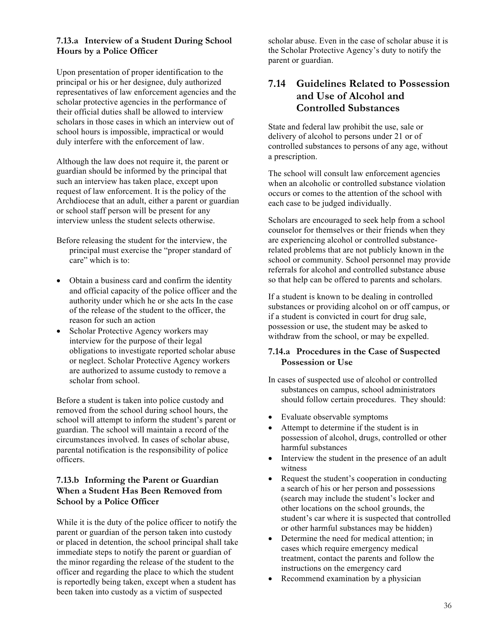# **7.13.a Interview of a Student During School Hours by a Police Officer**

Upon presentation of proper identification to the principal or his or her designee, duly authorized representatives of law enforcement agencies and the scholar protective agencies in the performance of their official duties shall be allowed to interview scholars in those cases in which an interview out of school hours is impossible, impractical or would duly interfere with the enforcement of law.

Although the law does not require it, the parent or guardian should be informed by the principal that such an interview has taken place, except upon request of law enforcement. It is the policy of the Archdiocese that an adult, either a parent or guardian or school staff person will be present for any interview unless the student selects otherwise.

- Before releasing the student for the interview, the principal must exercise the "proper standard of care" which is to:
- Obtain a business card and confirm the identity and official capacity of the police officer and the authority under which he or she acts In the case of the release of the student to the officer, the reason for such an action
- Scholar Protective Agency workers may interview for the purpose of their legal obligations to investigate reported scholar abuse or neglect. Scholar Protective Agency workers are authorized to assume custody to remove a scholar from school.

Before a student is taken into police custody and removed from the school during school hours, the school will attempt to inform the student's parent or guardian. The school will maintain a record of the circumstances involved. In cases of scholar abuse, parental notification is the responsibility of police officers.

### **7.13.b Informing the Parent or Guardian When a Student Has Been Removed from School by a Police Officer**

While it is the duty of the police officer to notify the parent or guardian of the person taken into custody or placed in detention, the school principal shall take immediate steps to notify the parent or guardian of the minor regarding the release of the student to the officer and regarding the place to which the student is reportedly being taken, except when a student has been taken into custody as a victim of suspected

scholar abuse. Even in the case of scholar abuse it is the Scholar Protective Agency's duty to notify the parent or guardian.

# **7.14 Guidelines Related to Possession and Use of Alcohol and Controlled Substances**

State and federal law prohibit the use, sale or delivery of alcohol to persons under 21 or of controlled substances to persons of any age, without a prescription.

The school will consult law enforcement agencies when an alcoholic or controlled substance violation occurs or comes to the attention of the school with each case to be judged individually.

Scholars are encouraged to seek help from a school counselor for themselves or their friends when they are experiencing alcohol or controlled substancerelated problems that are not publicly known in the school or community. School personnel may provide referrals for alcohol and controlled substance abuse so that help can be offered to parents and scholars.

If a student is known to be dealing in controlled substances or providing alcohol on or off campus, or if a student is convicted in court for drug sale, possession or use, the student may be asked to withdraw from the school, or may be expelled.

### **7.14.a Procedures in the Case of Suspected Possession or Use**

- In cases of suspected use of alcohol or controlled substances on campus, school administrators should follow certain procedures. They should:
- Evaluate observable symptoms
- Attempt to determine if the student is in possession of alcohol, drugs, controlled or other harmful substances
- Interview the student in the presence of an adult witness
- Request the student's cooperation in conducting a search of his or her person and possessions (search may include the student's locker and other locations on the school grounds, the student's car where it is suspected that controlled or other harmful substances may be hidden)
- Determine the need for medical attention; in cases which require emergency medical treatment, contact the parents and follow the instructions on the emergency card
- Recommend examination by a physician